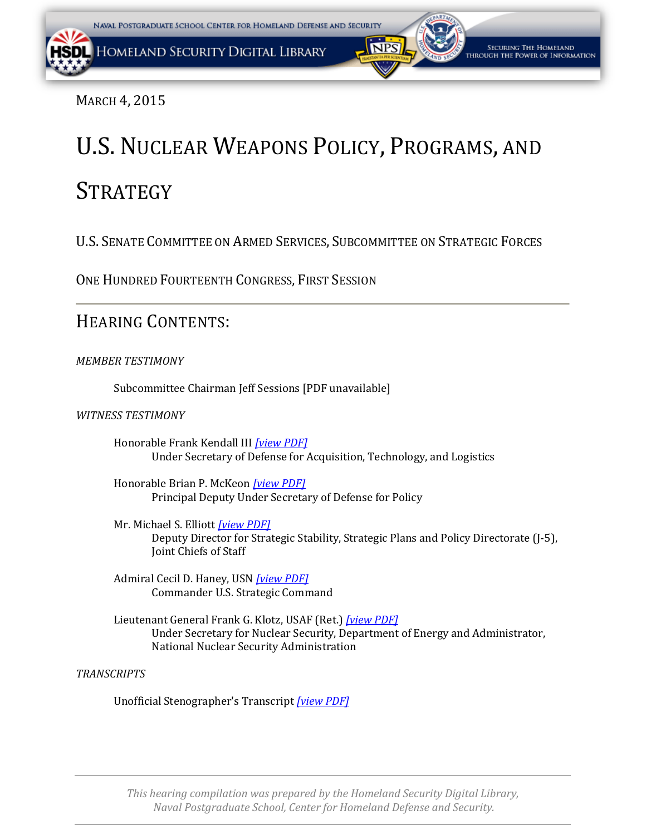MARCH 4, 2015

# U.S. NUCLEAR WEAPONS POLICY, PROGRAMS, AND

## **STRATEGY**

U.S. SENATE COMMITTEE ON ARMED SERVICES, SUBCOMMITTEE ON STRATEGIC FORCES

ONE HUNDRED FOURTEENTH CONGRESS, FIRST SESSION

### HEARING CONTENTS:

*MEMBER TESTIMONY*

Subcommittee Chairman Jeff Sessions [PDF unavailable]

*WITNESS TESTIMONY*

Honorable Frank Kendall III *[\[view PDF\]](#page-2-0)* Under Secretary of Defense for Acquisition, Technology, and Logistics

Honorable Brian P. McKeon *[\[view PDF\]](#page-2-0)* Principal Deputy Under Secretary of Defense for Policy

Mr. Michael S. Elliott *[\[view PDF\]](#page-2-0)* Deputy Director for Strategic Stability, Strategic Plans and Policy Directorate (J-5), Joint Chiefs of Staff

Admiral Cecil D. Haney, USN *[\[view PDF\]](#page-2-0)* Commander U.S. Strategic Command

Lieutenant General Frank G. Klotz, USAF (Ret.) *[\[view PDF\]](#page-2-0)* Under Secretary for Nuclear Security, Department of Energy and Administrator, National Nuclear Security Administration

*TRANSCRIPTS*

Unofficial Stenographer's Transcript *[\[view PDF\]](#page-13-0)*

*This hearing compilation was prepared by the Homeland Security Digital Library, Naval Postgraduate School, Center for Homeland Defense and Security.*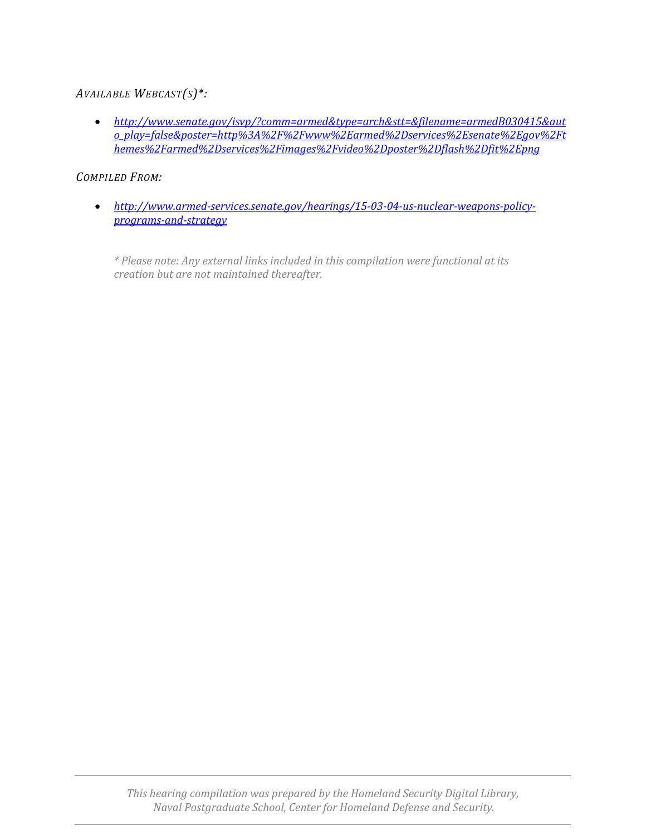#### *AVAILABLE WEBCAST(S)\*:*

• *[http://www.senate.gov/isvp/?comm=armed&type=arch&stt=&filename=armedB030415&aut](http://www.senate.gov/isvp/?comm=armed&type=arch&stt=&filename=armedB030415&auto_play=false&poster=http%3A%2F%2Fwww%2Earmed%2Dservices%2Esenate%2Egov%2Fthemes%2Farmed%2Dservices%2Fimages%2Fvideo%2Dposter%2Dflash%2Dfit%2Epng) [o\\_play=false&poster=http%3A%2F%2Fwww%2Earmed%2Dservices%2Esenate%2Egov%2Ft](http://www.senate.gov/isvp/?comm=armed&type=arch&stt=&filename=armedB030415&auto_play=false&poster=http%3A%2F%2Fwww%2Earmed%2Dservices%2Esenate%2Egov%2Fthemes%2Farmed%2Dservices%2Fimages%2Fvideo%2Dposter%2Dflash%2Dfit%2Epng) [hemes%2Farmed%2Dservices%2Fimages%2Fvideo%2Dposter%2Dflash%2Dfit%2Epng](http://www.senate.gov/isvp/?comm=armed&type=arch&stt=&filename=armedB030415&auto_play=false&poster=http%3A%2F%2Fwww%2Earmed%2Dservices%2Esenate%2Egov%2Fthemes%2Farmed%2Dservices%2Fimages%2Fvideo%2Dposter%2Dflash%2Dfit%2Epng)*

#### *COMPILED FROM:*

• *[http://www.armed-services.senate.gov/hearings/15-03-04-us-nuclear-weapons-policy](http://www.armed-services.senate.gov/hearings/15-03-04-us-nuclear-weapons-policy-programs-and-strategy)[programs-and-strategy](http://www.armed-services.senate.gov/hearings/15-03-04-us-nuclear-weapons-policy-programs-and-strategy)*

*\* Please note: Any external links included in this compilation were functional at its creation but are not maintained thereafter.*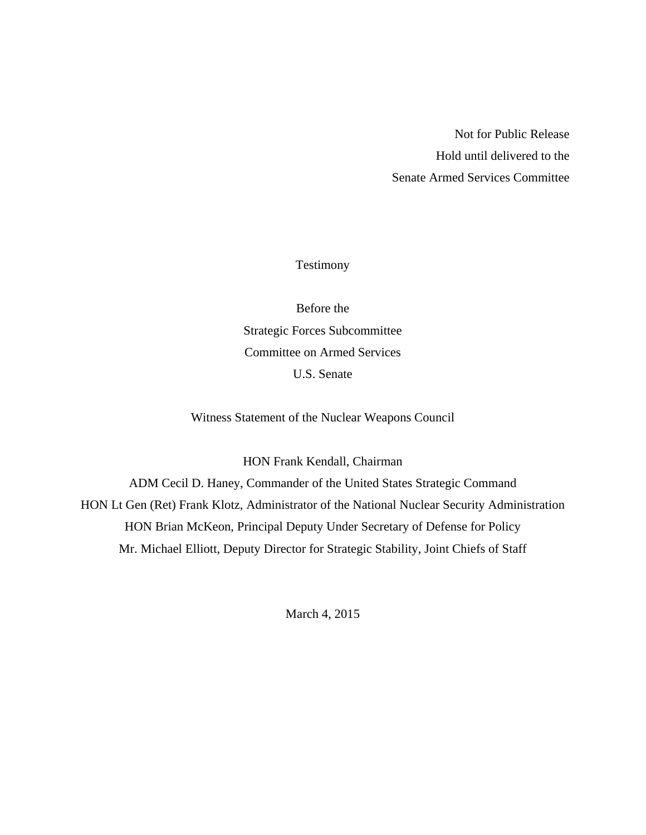Not for Public Release Hold until delivered to the Senate Armed Services Committee

Testimony

<span id="page-2-0"></span>Before the Strategic Forces Subcommittee Committee on Armed Services U.S. Senate

Witness Statement of the Nuclear Weapons Council

HON Frank Kendall, Chairman

ADM Cecil D. Haney, Commander of the United States Strategic Command HON Lt Gen (Ret) Frank Klotz, Administrator of the National Nuclear Security Administration HON Brian McKeon, Principal Deputy Under Secretary of Defense for Policy Mr. Michael Elliott, Deputy Director for Strategic Stability, Joint Chiefs of Staff

March 4, 2015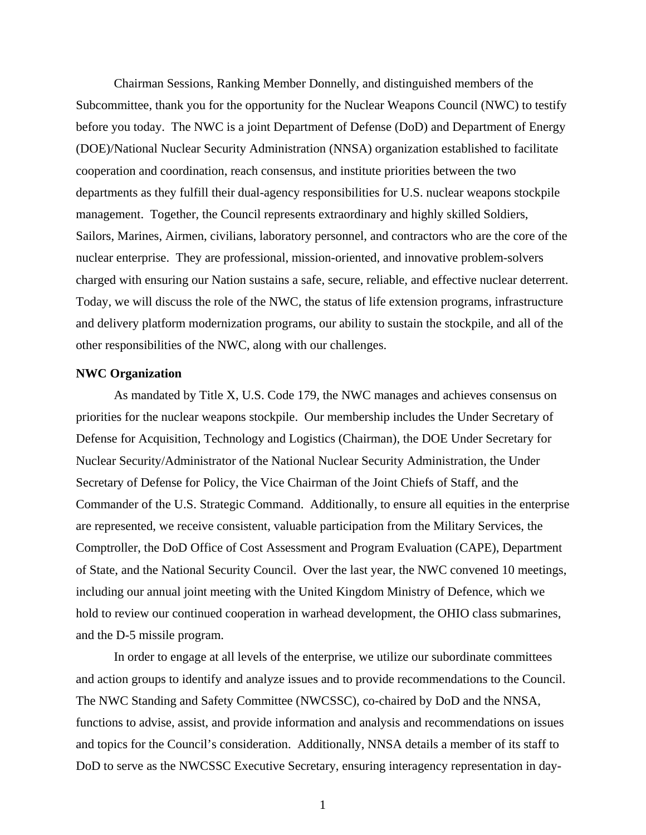Chairman Sessions, Ranking Member Donnelly, and distinguished members of the Subcommittee, thank you for the opportunity for the Nuclear Weapons Council (NWC) to testify before you today. The NWC is a joint Department of Defense (DoD) and Department of Energy (DOE)/National Nuclear Security Administration (NNSA) organization established to facilitate cooperation and coordination, reach consensus, and institute priorities between the two departments as they fulfill their dual-agency responsibilities for U.S. nuclear weapons stockpile management. Together, the Council represents extraordinary and highly skilled Soldiers, Sailors, Marines, Airmen, civilians, laboratory personnel, and contractors who are the core of the nuclear enterprise. They are professional, mission-oriented, and innovative problem-solvers charged with ensuring our Nation sustains a safe, secure, reliable, and effective nuclear deterrent. Today, we will discuss the role of the NWC, the status of life extension programs, infrastructure and delivery platform modernization programs, our ability to sustain the stockpile, and all of the other responsibilities of the NWC, along with our challenges.

#### **NWC Organization**

 As mandated by Title X, U.S. Code 179, the NWC manages and achieves consensus on priorities for the nuclear weapons stockpile. Our membership includes the Under Secretary of Defense for Acquisition, Technology and Logistics (Chairman), the DOE Under Secretary for Nuclear Security/Administrator of the National Nuclear Security Administration, the Under Secretary of Defense for Policy, the Vice Chairman of the Joint Chiefs of Staff, and the Commander of the U.S. Strategic Command. Additionally, to ensure all equities in the enterprise are represented, we receive consistent, valuable participation from the Military Services, the Comptroller, the DoD Office of Cost Assessment and Program Evaluation (CAPE), Department of State, and the National Security Council. Over the last year, the NWC convened 10 meetings, including our annual joint meeting with the United Kingdom Ministry of Defence, which we hold to review our continued cooperation in warhead development, the OHIO class submarines, and the D-5 missile program.

In order to engage at all levels of the enterprise, we utilize our subordinate committees and action groups to identify and analyze issues and to provide recommendations to the Council. The NWC Standing and Safety Committee (NWCSSC), co-chaired by DoD and the NNSA, functions to advise, assist, and provide information and analysis and recommendations on issues and topics for the Council's consideration. Additionally, NNSA details a member of its staff to DoD to serve as the NWCSSC Executive Secretary, ensuring interagency representation in day-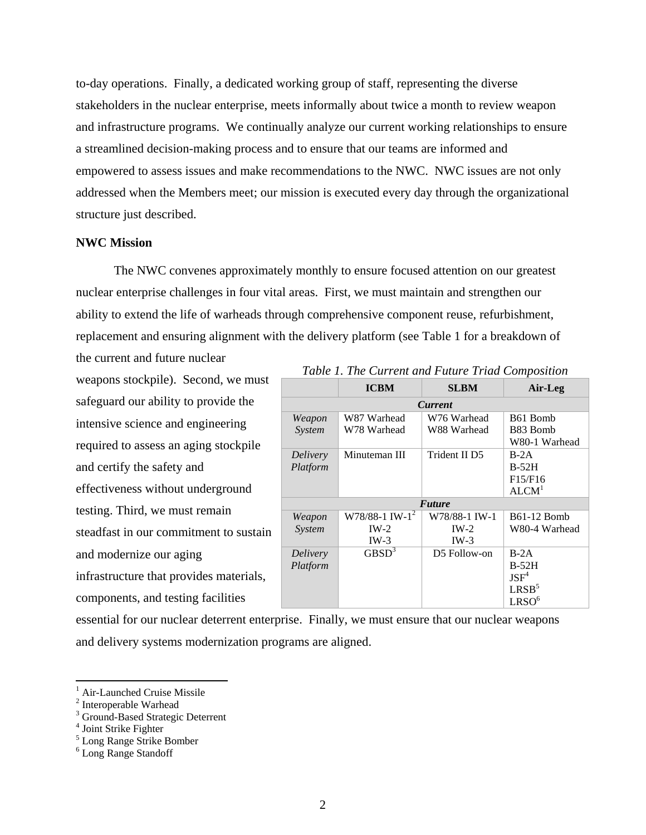to-day operations. Finally, a dedicated working group of staff, representing the diverse stakeholders in the nuclear enterprise, meets informally about twice a month to review weapon and infrastructure programs. We continually analyze our current working relationships to ensure a streamlined decision-making process and to ensure that our teams are informed and empowered to assess issues and make recommendations to the NWC. NWC issues are not only addressed when the Members meet; our mission is executed every day through the organizational structure just described.

#### **NWC Mission**

The NWC convenes approximately monthly to ensure focused attention on our greatest nuclear enterprise challenges in four vital areas. First, we must maintain and strengthen our ability to extend the life of warheads through comprehensive component reuse, refurbishment, replacement and ensuring alignment with the delivery platform (see Table 1 for a breakdown of the current and future nuclear

weapons stockpile). Second, we must safeguard our ability to provide the intensive science and engineering required to assess an aging stockpile and certify the safety and effectiveness without underground testing. Third, we must remain steadfast in our commitment to sustain and modernize our aging infrastructure that provides materials, components, and testing facilities

| Tubic 1. The Current and I mare Irida Composition |                              |               |                      |  |  |  |  |
|---------------------------------------------------|------------------------------|---------------|----------------------|--|--|--|--|
|                                                   | <b>ICBM</b>                  | <b>SLBM</b>   | Air-Leg              |  |  |  |  |
| <b>Current</b>                                    |                              |               |                      |  |  |  |  |
| Weapon                                            | W87 Warhead                  | W76 Warhead   | B <sub>61</sub> Bomb |  |  |  |  |
| System                                            | W78 Warhead                  | W88 Warhead   | B83 Bomb             |  |  |  |  |
|                                                   |                              |               | W80-1 Warhead        |  |  |  |  |
| Delivery                                          | Minuteman III                | Trident II D5 | $B-2A$               |  |  |  |  |
| Platform                                          |                              |               | $B-52H$              |  |  |  |  |
|                                                   |                              |               | F15/F16              |  |  |  |  |
|                                                   |                              |               | ALCM <sup>1</sup>    |  |  |  |  |
| <b>Future</b>                                     |                              |               |                      |  |  |  |  |
| Weapon                                            | $W78/88-1$ IW-1 <sup>2</sup> | W78/88-1 IW-1 | <b>B61-12 Bomb</b>   |  |  |  |  |
| System                                            | $IW-2$                       | $IW-2$        | W80-4 Warhead        |  |  |  |  |
|                                                   | $IW-3$                       | $IW-3$        |                      |  |  |  |  |
| Delivery                                          | $\overline{\text{GBSD}^3}$   | D5 Follow-on  | $B-2A$               |  |  |  |  |
| Platform                                          |                              |               | $B-52H$              |  |  |  |  |
|                                                   |                              |               | $JSF^4$              |  |  |  |  |
|                                                   |                              |               | LRSB <sup>5</sup>    |  |  |  |  |
|                                                   |                              |               | LRSO <sup>6</sup>    |  |  |  |  |

*Table 1. The Current and Future Triad Composition* 

essential for our nuclear deterrent enterprise. Finally, we must ensure that our nuclear weapons and delivery systems modernization programs are aligned.

<sup>&</sup>lt;sup>1</sup> Air-Launched Cruise Missile

<sup>&</sup>lt;sup>2</sup> Interoperable Warhead

<sup>&</sup>lt;sup>3</sup> Ground-Based Strategic Deterrent

<sup>4</sup> Joint Strike Fighter

<sup>5</sup> Long Range Strike Bomber

<sup>6</sup> Long Range Standoff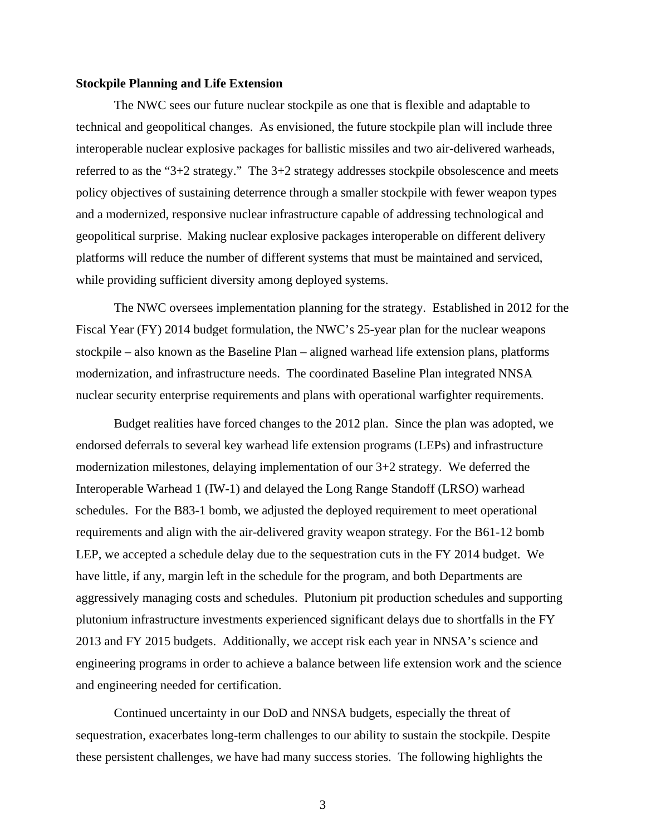#### **Stockpile Planning and Life Extension**

The NWC sees our future nuclear stockpile as one that is flexible and adaptable to technical and geopolitical changes. As envisioned, the future stockpile plan will include three interoperable nuclear explosive packages for ballistic missiles and two air-delivered warheads, referred to as the "3+2 strategy." The 3+2 strategy addresses stockpile obsolescence and meets policy objectives of sustaining deterrence through a smaller stockpile with fewer weapon types and a modernized, responsive nuclear infrastructure capable of addressing technological and geopolitical surprise. Making nuclear explosive packages interoperable on different delivery platforms will reduce the number of different systems that must be maintained and serviced, while providing sufficient diversity among deployed systems.

The NWC oversees implementation planning for the strategy. Established in 2012 for the Fiscal Year (FY) 2014 budget formulation, the NWC's 25-year plan for the nuclear weapons stockpile – also known as the Baseline Plan – aligned warhead life extension plans, platforms modernization, and infrastructure needs. The coordinated Baseline Plan integrated NNSA nuclear security enterprise requirements and plans with operational warfighter requirements.

Budget realities have forced changes to the 2012 plan. Since the plan was adopted, we endorsed deferrals to several key warhead life extension programs (LEPs) and infrastructure modernization milestones, delaying implementation of our 3+2 strategy. We deferred the Interoperable Warhead 1 (IW-1) and delayed the Long Range Standoff (LRSO) warhead schedules. For the B83-1 bomb, we adjusted the deployed requirement to meet operational requirements and align with the air-delivered gravity weapon strategy. For the B61-12 bomb LEP, we accepted a schedule delay due to the sequestration cuts in the FY 2014 budget. We have little, if any, margin left in the schedule for the program, and both Departments are aggressively managing costs and schedules. Plutonium pit production schedules and supporting plutonium infrastructure investments experienced significant delays due to shortfalls in the FY 2013 and FY 2015 budgets. Additionally, we accept risk each year in NNSA's science and engineering programs in order to achieve a balance between life extension work and the science and engineering needed for certification.

Continued uncertainty in our DoD and NNSA budgets, especially the threat of sequestration, exacerbates long-term challenges to our ability to sustain the stockpile. Despite these persistent challenges, we have had many success stories. The following highlights the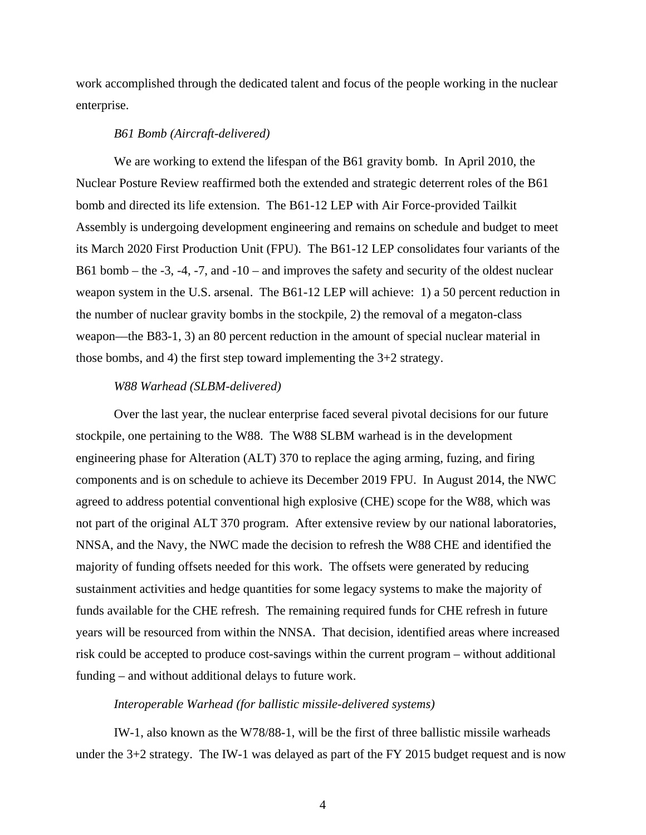work accomplished through the dedicated talent and focus of the people working in the nuclear enterprise.

#### *B61 Bomb (Aircraft-delivered)*

We are working to extend the lifespan of the B61 gravity bomb. In April 2010, the Nuclear Posture Review reaffirmed both the extended and strategic deterrent roles of the B61 bomb and directed its life extension. The B61-12 LEP with Air Force-provided Tailkit Assembly is undergoing development engineering and remains on schedule and budget to meet its March 2020 First Production Unit (FPU). The B61-12 LEP consolidates four variants of the B61 bomb – the -3, -4, -7, and -10 – and improves the safety and security of the oldest nuclear weapon system in the U.S. arsenal. The B61-12 LEP will achieve: 1) a 50 percent reduction in the number of nuclear gravity bombs in the stockpile, 2) the removal of a megaton-class weapon––the B83-1, 3) an 80 percent reduction in the amount of special nuclear material in those bombs, and 4) the first step toward implementing the 3+2 strategy.

#### *W88 Warhead (SLBM-delivered)*

Over the last year, the nuclear enterprise faced several pivotal decisions for our future stockpile, one pertaining to the W88. The W88 SLBM warhead is in the development engineering phase for Alteration (ALT) 370 to replace the aging arming, fuzing, and firing components and is on schedule to achieve its December 2019 FPU. In August 2014, the NWC agreed to address potential conventional high explosive (CHE) scope for the W88, which was not part of the original ALT 370 program. After extensive review by our national laboratories, NNSA, and the Navy, the NWC made the decision to refresh the W88 CHE and identified the majority of funding offsets needed for this work. The offsets were generated by reducing sustainment activities and hedge quantities for some legacy systems to make the majority of funds available for the CHE refresh. The remaining required funds for CHE refresh in future years will be resourced from within the NNSA. That decision, identified areas where increased risk could be accepted to produce cost-savings within the current program – without additional funding – and without additional delays to future work.

#### *Interoperable Warhead (for ballistic missile-delivered systems)*

IW-1, also known as the W78/88-1, will be the first of three ballistic missile warheads under the  $3+2$  strategy. The IW-1 was delayed as part of the FY 2015 budget request and is now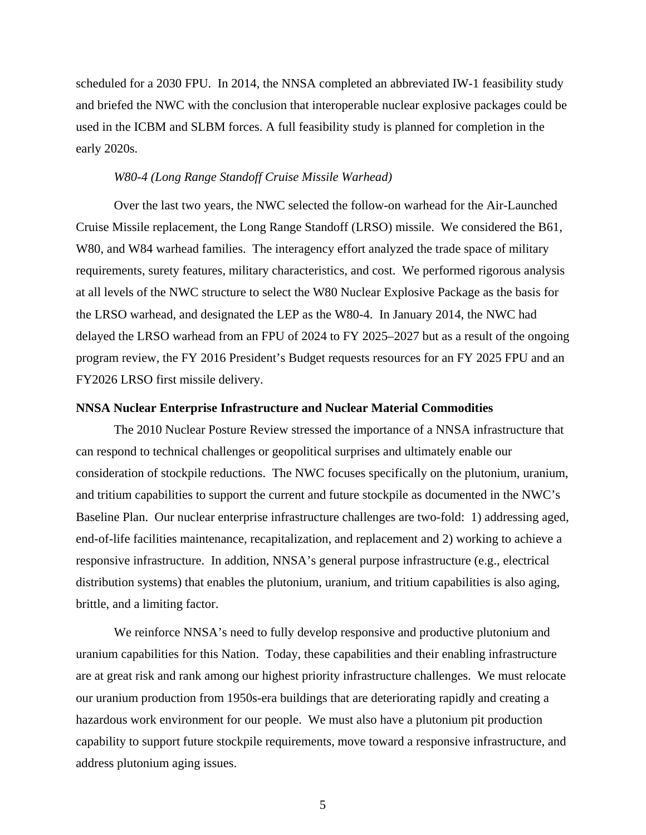scheduled for a 2030 FPU. In 2014, the NNSA completed an abbreviated IW-1 feasibility study and briefed the NWC with the conclusion that interoperable nuclear explosive packages could be used in the ICBM and SLBM forces. A full feasibility study is planned for completion in the early 2020s.

#### *W80-4 (Long Range Standoff Cruise Missile Warhead)*

 Over the last two years, the NWC selected the follow-on warhead for the Air-Launched Cruise Missile replacement, the Long Range Standoff (LRSO) missile. We considered the B61, W80, and W84 warhead families. The interagency effort analyzed the trade space of military requirements, surety features, military characteristics, and cost. We performed rigorous analysis at all levels of the NWC structure to select the W80 Nuclear Explosive Package as the basis for the LRSO warhead, and designated the LEP as the W80-4. In January 2014, the NWC had delayed the LRSO warhead from an FPU of 2024 to FY 2025–2027 but as a result of the ongoing program review, the FY 2016 President's Budget requests resources for an FY 2025 FPU and an FY2026 LRSO first missile delivery.

#### **NNSA Nuclear Enterprise Infrastructure and Nuclear Material Commodities**

 The 2010 Nuclear Posture Review stressed the importance of a NNSA infrastructure that can respond to technical challenges or geopolitical surprises and ultimately enable our consideration of stockpile reductions. The NWC focuses specifically on the plutonium, uranium, and tritium capabilities to support the current and future stockpile as documented in the NWC's Baseline Plan. Our nuclear enterprise infrastructure challenges are two-fold: 1) addressing aged, end-of-life facilities maintenance, recapitalization, and replacement and 2) working to achieve a responsive infrastructure. In addition, NNSA's general purpose infrastructure (e.g., electrical distribution systems) that enables the plutonium, uranium, and tritium capabilities is also aging, brittle, and a limiting factor.

We reinforce NNSA's need to fully develop responsive and productive plutonium and uranium capabilities for this Nation. Today, these capabilities and their enabling infrastructure are at great risk and rank among our highest priority infrastructure challenges. We must relocate our uranium production from 1950s-era buildings that are deteriorating rapidly and creating a hazardous work environment for our people. We must also have a plutonium pit production capability to support future stockpile requirements, move toward a responsive infrastructure, and address plutonium aging issues.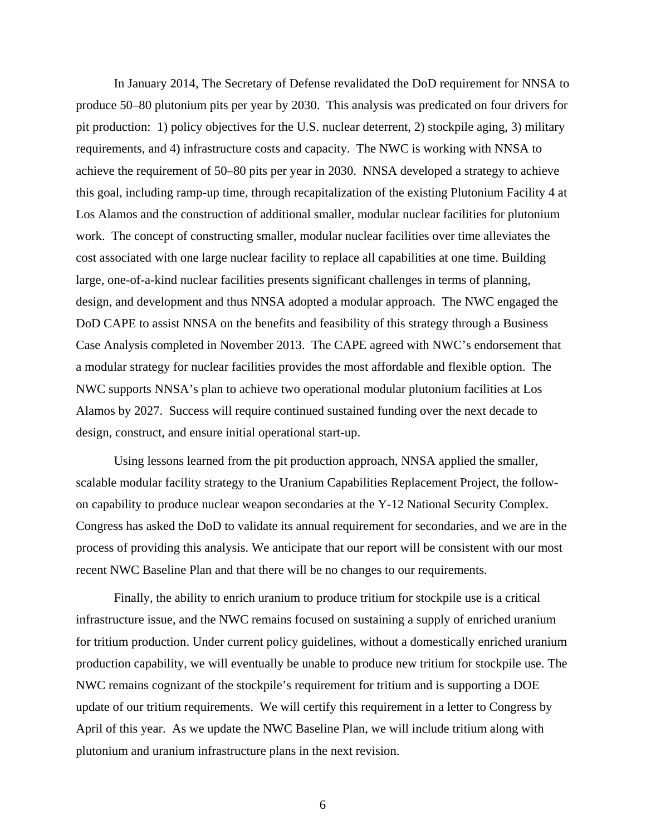In January 2014, The Secretary of Defense revalidated the DoD requirement for NNSA to produce 50–80 plutonium pits per year by 2030. This analysis was predicated on four drivers for pit production: 1) policy objectives for the U.S. nuclear deterrent, 2) stockpile aging, 3) military requirements, and 4) infrastructure costs and capacity. The NWC is working with NNSA to achieve the requirement of 50–80 pits per year in 2030. NNSA developed a strategy to achieve this goal, including ramp-up time, through recapitalization of the existing Plutonium Facility 4 at Los Alamos and the construction of additional smaller, modular nuclear facilities for plutonium work. The concept of constructing smaller, modular nuclear facilities over time alleviates the cost associated with one large nuclear facility to replace all capabilities at one time. Building large, one-of-a-kind nuclear facilities presents significant challenges in terms of planning, design, and development and thus NNSA adopted a modular approach. The NWC engaged the DoD CAPE to assist NNSA on the benefits and feasibility of this strategy through a Business Case Analysis completed in November 2013. The CAPE agreed with NWC's endorsement that a modular strategy for nuclear facilities provides the most affordable and flexible option. The NWC supports NNSA's plan to achieve two operational modular plutonium facilities at Los Alamos by 2027. Success will require continued sustained funding over the next decade to design, construct, and ensure initial operational start-up.

Using lessons learned from the pit production approach, NNSA applied the smaller, scalable modular facility strategy to the Uranium Capabilities Replacement Project, the followon capability to produce nuclear weapon secondaries at the Y-12 National Security Complex. Congress has asked the DoD to validate its annual requirement for secondaries, and we are in the process of providing this analysis. We anticipate that our report will be consistent with our most recent NWC Baseline Plan and that there will be no changes to our requirements.

Finally, the ability to enrich uranium to produce tritium for stockpile use is a critical infrastructure issue, and the NWC remains focused on sustaining a supply of enriched uranium for tritium production. Under current policy guidelines, without a domestically enriched uranium production capability, we will eventually be unable to produce new tritium for stockpile use. The NWC remains cognizant of the stockpile's requirement for tritium and is supporting a DOE update of our tritium requirements. We will certify this requirement in a letter to Congress by April of this year. As we update the NWC Baseline Plan, we will include tritium along with plutonium and uranium infrastructure plans in the next revision.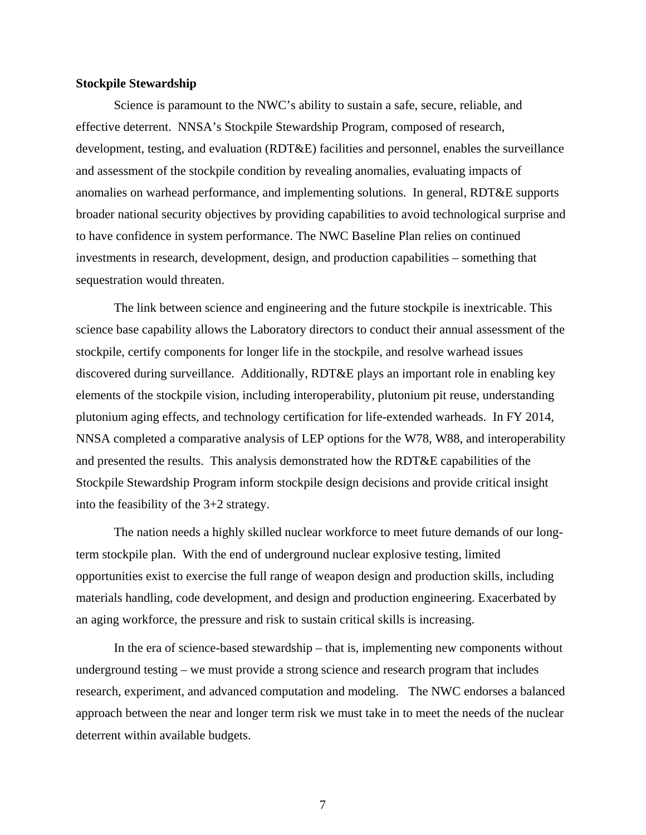#### **Stockpile Stewardship**

 Science is paramount to the NWC's ability to sustain a safe, secure, reliable, and effective deterrent. NNSA's Stockpile Stewardship Program, composed of research, development, testing, and evaluation (RDT&E) facilities and personnel, enables the surveillance and assessment of the stockpile condition by revealing anomalies, evaluating impacts of anomalies on warhead performance, and implementing solutions. In general, RDT&E supports broader national security objectives by providing capabilities to avoid technological surprise and to have confidence in system performance. The NWC Baseline Plan relies on continued investments in research, development, design, and production capabilities – something that sequestration would threaten.

The link between science and engineering and the future stockpile is inextricable. This science base capability allows the Laboratory directors to conduct their annual assessment of the stockpile, certify components for longer life in the stockpile, and resolve warhead issues discovered during surveillance. Additionally, RDT&E plays an important role in enabling key elements of the stockpile vision, including interoperability, plutonium pit reuse, understanding plutonium aging effects, and technology certification for life-extended warheads. In FY 2014, NNSA completed a comparative analysis of LEP options for the W78, W88, and interoperability and presented the results. This analysis demonstrated how the RDT&E capabilities of the Stockpile Stewardship Program inform stockpile design decisions and provide critical insight into the feasibility of the 3+2 strategy.

The nation needs a highly skilled nuclear workforce to meet future demands of our longterm stockpile plan. With the end of underground nuclear explosive testing, limited opportunities exist to exercise the full range of weapon design and production skills, including materials handling, code development, and design and production engineering. Exacerbated by an aging workforce, the pressure and risk to sustain critical skills is increasing.

In the era of science-based stewardship – that is, implementing new components without underground testing – we must provide a strong science and research program that includes research, experiment, and advanced computation and modeling. The NWC endorses a balanced approach between the near and longer term risk we must take in to meet the needs of the nuclear deterrent within available budgets.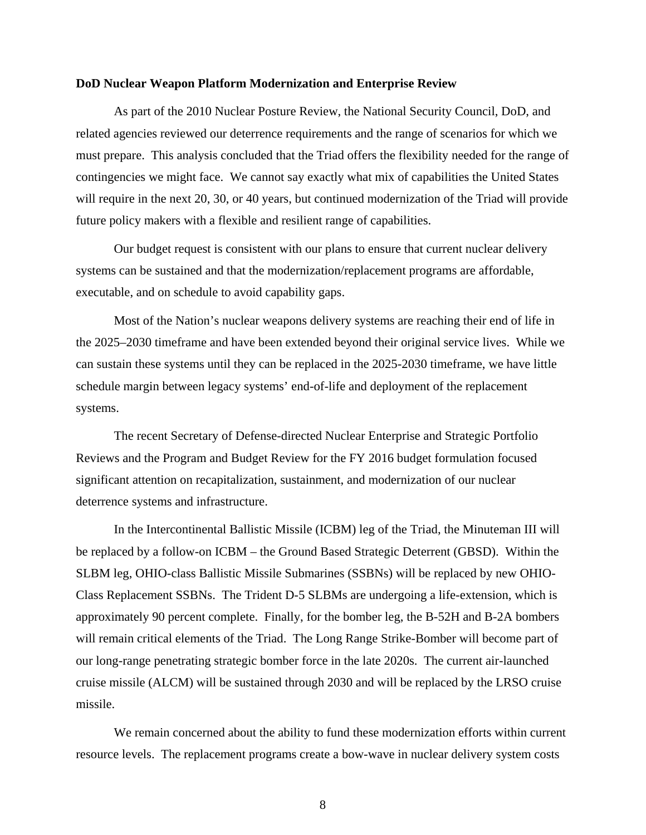#### **DoD Nuclear Weapon Platform Modernization and Enterprise Review**

As part of the 2010 Nuclear Posture Review, the National Security Council, DoD, and related agencies reviewed our deterrence requirements and the range of scenarios for which we must prepare. This analysis concluded that the Triad offers the flexibility needed for the range of contingencies we might face. We cannot say exactly what mix of capabilities the United States will require in the next 20, 30, or 40 years, but continued modernization of the Triad will provide future policy makers with a flexible and resilient range of capabilities.

 Our budget request is consistent with our plans to ensure that current nuclear delivery systems can be sustained and that the modernization/replacement programs are affordable, executable, and on schedule to avoid capability gaps.

Most of the Nation's nuclear weapons delivery systems are reaching their end of life in the 2025–2030 timeframe and have been extended beyond their original service lives. While we can sustain these systems until they can be replaced in the 2025-2030 timeframe, we have little schedule margin between legacy systems' end-of-life and deployment of the replacement systems.

The recent Secretary of Defense-directed Nuclear Enterprise and Strategic Portfolio Reviews and the Program and Budget Review for the FY 2016 budget formulation focused significant attention on recapitalization, sustainment, and modernization of our nuclear deterrence systems and infrastructure.

In the Intercontinental Ballistic Missile (ICBM) leg of the Triad, the Minuteman III will be replaced by a follow-on ICBM – the Ground Based Strategic Deterrent (GBSD). Within the SLBM leg, OHIO-class Ballistic Missile Submarines (SSBNs) will be replaced by new OHIO-Class Replacement SSBNs. The Trident D-5 SLBMs are undergoing a life-extension, which is approximately 90 percent complete. Finally, for the bomber leg, the B-52H and B-2A bombers will remain critical elements of the Triad. The Long Range Strike-Bomber will become part of our long-range penetrating strategic bomber force in the late 2020s. The current air-launched cruise missile (ALCM) will be sustained through 2030 and will be replaced by the LRSO cruise missile.

We remain concerned about the ability to fund these modernization efforts within current resource levels. The replacement programs create a bow-wave in nuclear delivery system costs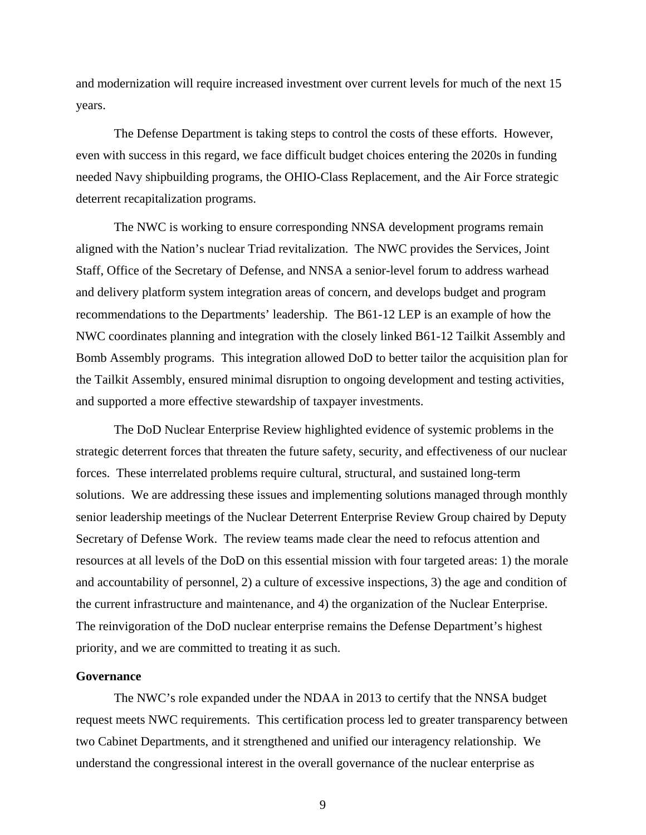and modernization will require increased investment over current levels for much of the next 15 years.

The Defense Department is taking steps to control the costs of these efforts. However, even with success in this regard, we face difficult budget choices entering the 2020s in funding needed Navy shipbuilding programs, the OHIO-Class Replacement, and the Air Force strategic deterrent recapitalization programs.

The NWC is working to ensure corresponding NNSA development programs remain aligned with the Nation's nuclear Triad revitalization. The NWC provides the Services, Joint Staff, Office of the Secretary of Defense, and NNSA a senior-level forum to address warhead and delivery platform system integration areas of concern, and develops budget and program recommendations to the Departments' leadership. The B61-12 LEP is an example of how the NWC coordinates planning and integration with the closely linked B61-12 Tailkit Assembly and Bomb Assembly programs. This integration allowed DoD to better tailor the acquisition plan for the Tailkit Assembly, ensured minimal disruption to ongoing development and testing activities, and supported a more effective stewardship of taxpayer investments.

 The DoD Nuclear Enterprise Review highlighted evidence of systemic problems in the strategic deterrent forces that threaten the future safety, security, and effectiveness of our nuclear forces. These interrelated problems require cultural, structural, and sustained long-term solutions. We are addressing these issues and implementing solutions managed through monthly senior leadership meetings of the Nuclear Deterrent Enterprise Review Group chaired by Deputy Secretary of Defense Work. The review teams made clear the need to refocus attention and resources at all levels of the DoD on this essential mission with four targeted areas: 1) the morale and accountability of personnel, 2) a culture of excessive inspections, 3) the age and condition of the current infrastructure and maintenance, and 4) the organization of the Nuclear Enterprise. The reinvigoration of the DoD nuclear enterprise remains the Defense Department's highest priority, and we are committed to treating it as such.

#### **Governance**

 The NWC's role expanded under the NDAA in 2013 to certify that the NNSA budget request meets NWC requirements. This certification process led to greater transparency between two Cabinet Departments, and it strengthened and unified our interagency relationship. We understand the congressional interest in the overall governance of the nuclear enterprise as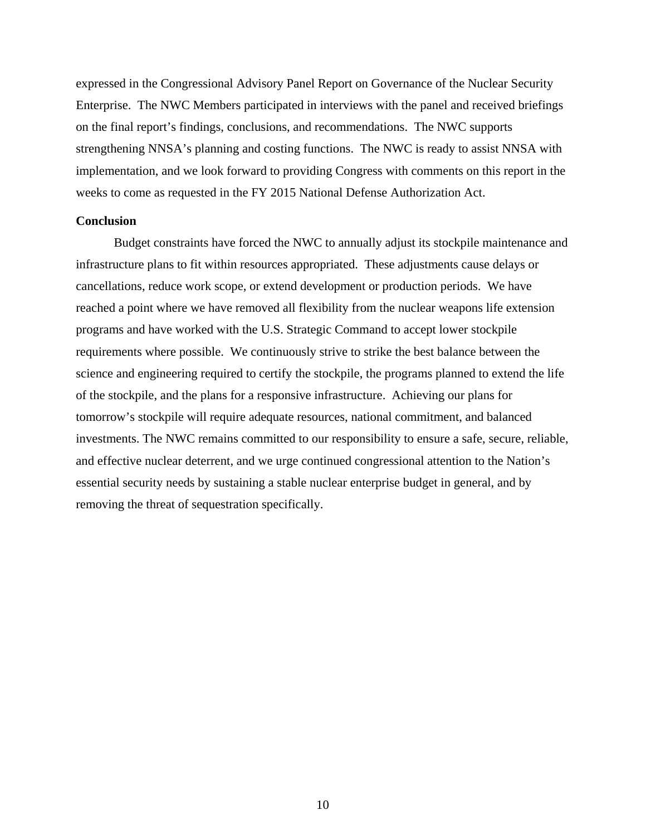expressed in the Congressional Advisory Panel Report on Governance of the Nuclear Security Enterprise. The NWC Members participated in interviews with the panel and received briefings on the final report's findings, conclusions, and recommendations. The NWC supports strengthening NNSA's planning and costing functions. The NWC is ready to assist NNSA with implementation, and we look forward to providing Congress with comments on this report in the weeks to come as requested in the FY 2015 National Defense Authorization Act.

#### **Conclusion**

Budget constraints have forced the NWC to annually adjust its stockpile maintenance and infrastructure plans to fit within resources appropriated. These adjustments cause delays or cancellations, reduce work scope, or extend development or production periods. We have reached a point where we have removed all flexibility from the nuclear weapons life extension programs and have worked with the U.S. Strategic Command to accept lower stockpile requirements where possible. We continuously strive to strike the best balance between the science and engineering required to certify the stockpile, the programs planned to extend the life of the stockpile, and the plans for a responsive infrastructure. Achieving our plans for tomorrow's stockpile will require adequate resources, national commitment, and balanced investments. The NWC remains committed to our responsibility to ensure a safe, secure, reliable, and effective nuclear deterrent, and we urge continued congressional attention to the Nation's essential security needs by sustaining a stable nuclear enterprise budget in general, and by removing the threat of sequestration specifically.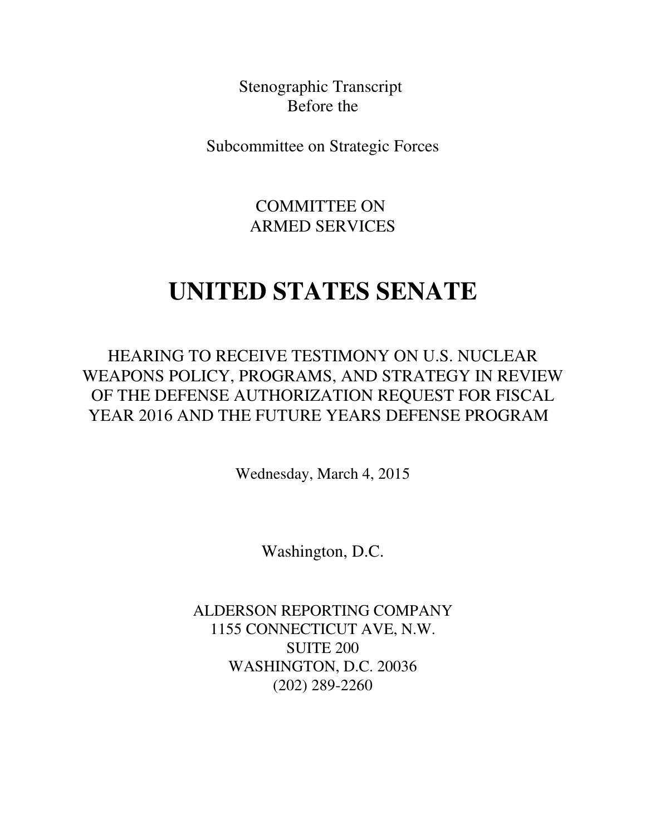Stenographic Transcript Before the

<span id="page-13-0"></span>Subcommittee on Strategic Forces

COMMITTEE ON ARMED SERVICES

### **UNITED STATES SENATE**

HEARING TO RECEIVE TESTIMONY ON U.S. NUCLEAR WEAPONS POLICY, PROGRAMS, AND STRATEGY IN REVIEW OF THE DEFENSE AUTHORIZATION REQUEST FOR FISCAL YEAR 2016 AND THE FUTURE YEARS DEFENSE PROGRAM

Wednesday, March 4, 2015

Washington, D.C.

ALDERSON REPORTING COMPANY 1155 CONNECTICUT AVE, N.W. SUITE 200 WASHINGTON, D.C. 20036 (202) 289-2260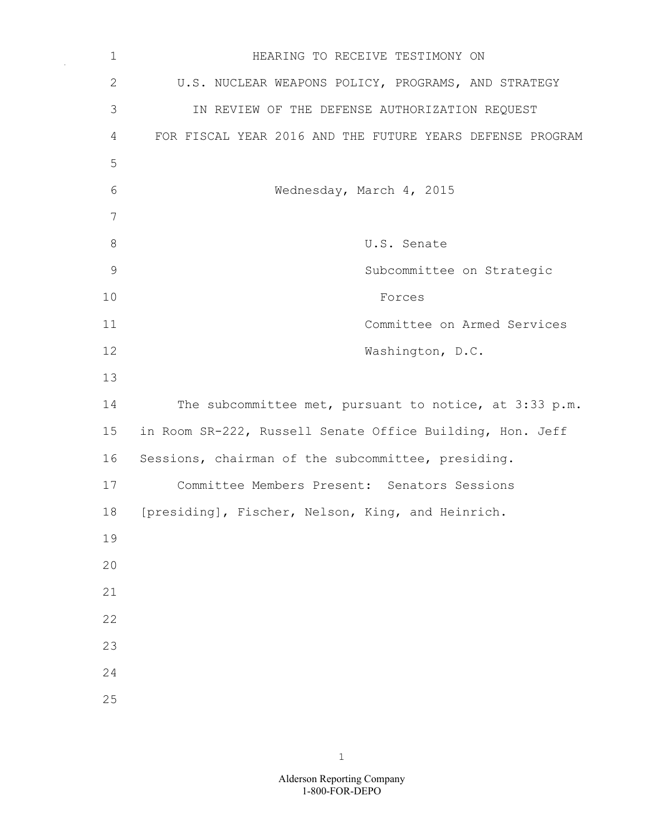1 **1** HEARING TO RECEIVE TESTIMONY ON 2 U.S. NUCLEAR WEAPONS POLICY, PROGRAMS, AND STRATEGY 3 IN REVIEW OF THE DEFENSE AUTHORIZATION REQUEST 4 FOR FISCAL YEAR 2016 AND THE FUTURE YEARS DEFENSE PROGRAM 5 6 Wednesday, March 4, 2015 7 8 U.S. Senate 9 Subcommittee on Strategic 10 Forces 11 Committee on Armed Services 12 Washington, D.C. 13 14 The subcommittee met, pursuant to notice, at 3:33 p.m. 15 in Room SR-222, Russell Senate Office Building, Hon. Jeff 16 Sessions, chairman of the subcommittee, presiding. 17 Committee Members Present: Senators Sessions 18 [presiding], Fischer, Nelson, King, and Heinrich. 19  $20$ 21 22 23 24 25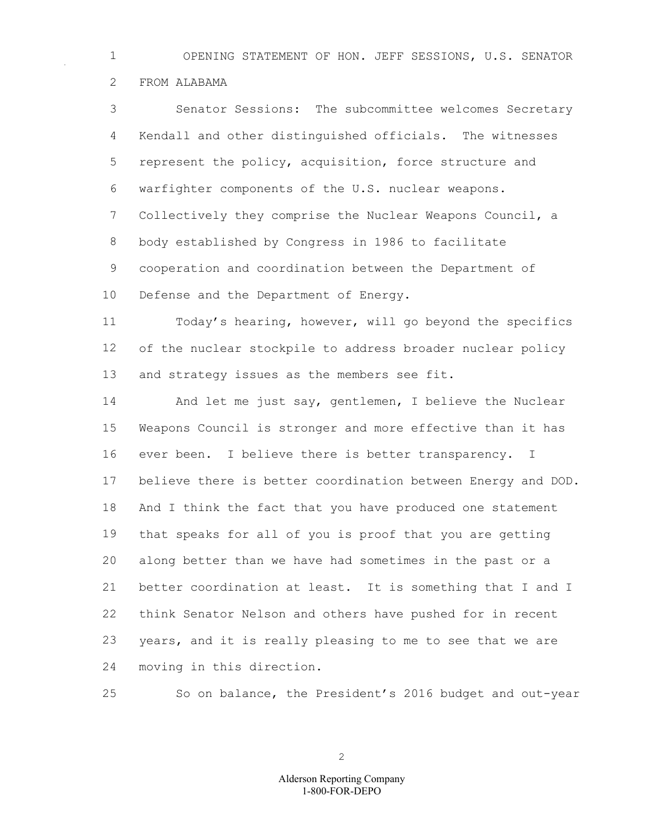OPENING STATEMENT OF HON. JEFF SESSIONS, U.S. SENATOR FROM ALABAMA

 Senator Sessions: The subcommittee welcomes Secretary Kendall and other distinguished officials. The witnesses represent the policy, acquisition, force structure and warfighter components of the U.S. nuclear weapons. Collectively they comprise the Nuclear Weapons Council, a body established by Congress in 1986 to facilitate cooperation and coordination between the Department of Defense and the Department of Energy.

 Today's hearing, however, will go beyond the specifics of the nuclear stockpile to address broader nuclear policy and strategy issues as the members see fit.

 And let me just say, gentlemen, I believe the Nuclear Weapons Council is stronger and more effective than it has ever been. I believe there is better transparency. I believe there is better coordination between Energy and DOD. And I think the fact that you have produced one statement that speaks for all of you is proof that you are getting along better than we have had sometimes in the past or a better coordination at least. It is something that I and I think Senator Nelson and others have pushed for in recent years, and it is really pleasing to me to see that we are moving in this direction.

So on balance, the President's 2016 budget and out-year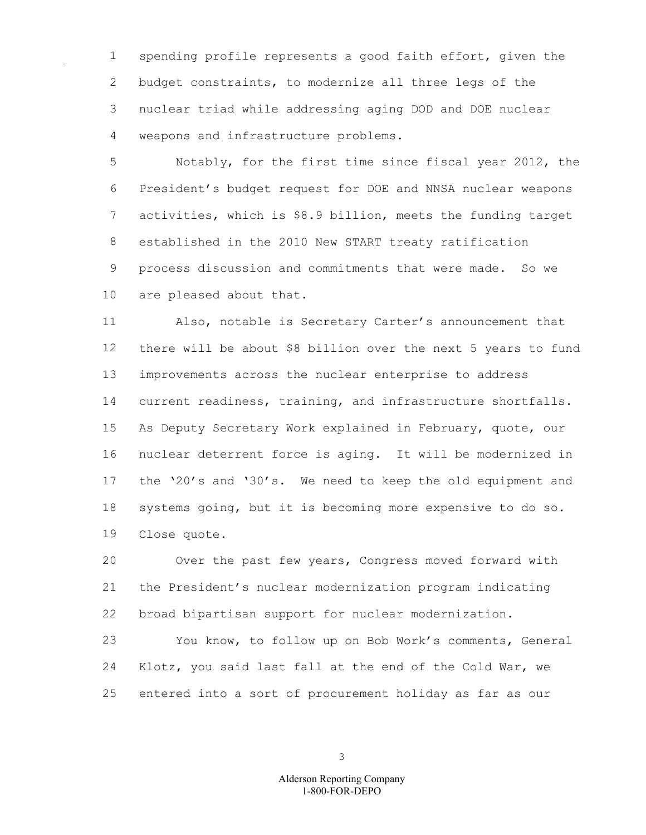spending profile represents a good faith effort, given the budget constraints, to modernize all three legs of the nuclear triad while addressing aging DOD and DOE nuclear weapons and infrastructure problems.

 Notably, for the first time since fiscal year 2012, the President's budget request for DOE and NNSA nuclear weapons activities, which is \$8.9 billion, meets the funding target established in the 2010 New START treaty ratification process discussion and commitments that were made. So we are pleased about that.

 Also, notable is Secretary Carter's announcement that there will be about \$8 billion over the next 5 years to fund improvements across the nuclear enterprise to address current readiness, training, and infrastructure shortfalls. As Deputy Secretary Work explained in February, quote, our nuclear deterrent force is aging. It will be modernized in the '20's and '30's. We need to keep the old equipment and systems going, but it is becoming more expensive to do so. Close quote.

 Over the past few years, Congress moved forward with the President's nuclear modernization program indicating broad bipartisan support for nuclear modernization.

 You know, to follow up on Bob Work's comments, General Klotz, you said last fall at the end of the Cold War, we entered into a sort of procurement holiday as far as our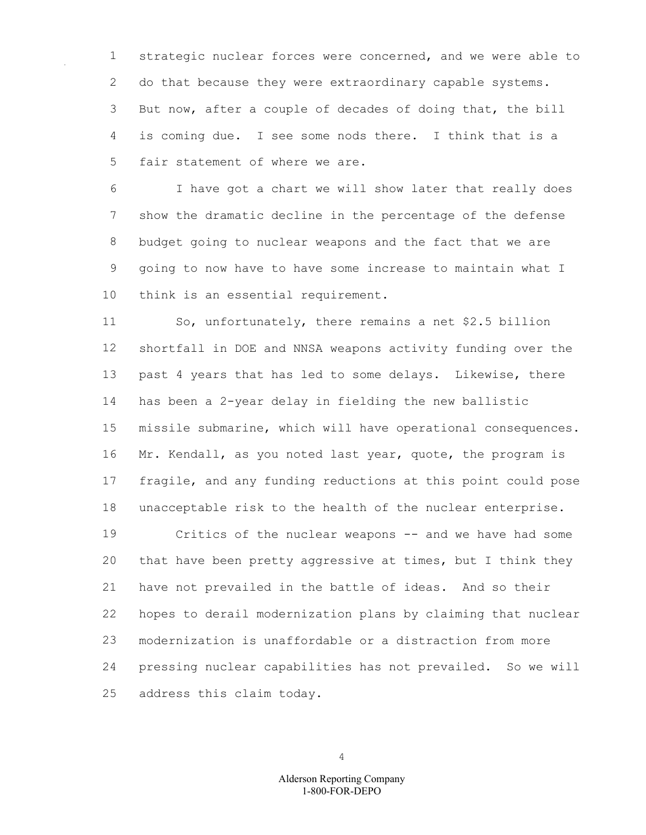strategic nuclear forces were concerned, and we were able to 2 do that because they were extraordinary capable systems. But now, after a couple of decades of doing that, the bill is coming due. I see some nods there. I think that is a fair statement of where we are.

 I have got a chart we will show later that really does show the dramatic decline in the percentage of the defense budget going to nuclear weapons and the fact that we are going to now have to have some increase to maintain what I think is an essential requirement.

 So, unfortunately, there remains a net \$2.5 billion shortfall in DOE and NNSA weapons activity funding over the past 4 years that has led to some delays. Likewise, there has been a 2-year delay in fielding the new ballistic missile submarine, which will have operational consequences. 16 Mr. Kendall, as you noted last year, quote, the program is fragile, and any funding reductions at this point could pose unacceptable risk to the health of the nuclear enterprise.

 Critics of the nuclear weapons -- and we have had some that have been pretty aggressive at times, but I think they have not prevailed in the battle of ideas. And so their hopes to derail modernization plans by claiming that nuclear modernization is unaffordable or a distraction from more pressing nuclear capabilities has not prevailed. So we will address this claim today.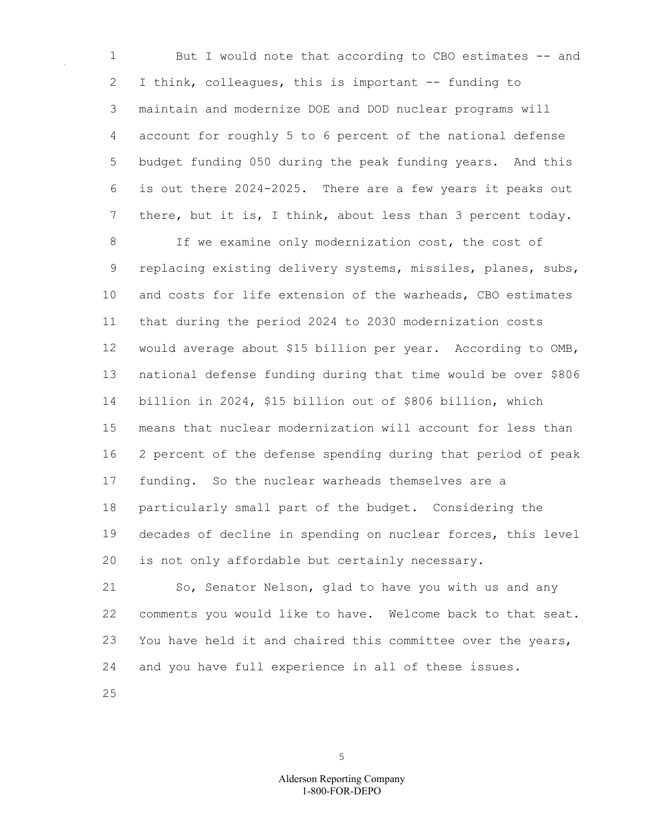1 But I would note that according to CBO estimates -- and I think, colleagues, this is important -- funding to maintain and modernize DOE and DOD nuclear programs will account for roughly 5 to 6 percent of the national defense budget funding 050 during the peak funding years. And this is out there 2024-2025. There are a few years it peaks out there, but it is, I think, about less than 3 percent today.

 If we examine only modernization cost, the cost of 9 replacing existing delivery systems, missiles, planes, subs, and costs for life extension of the warheads, CBO estimates that during the period 2024 to 2030 modernization costs would average about \$15 billion per year. According to OMB, national defense funding during that time would be over \$806 billion in 2024, \$15 billion out of \$806 billion, which means that nuclear modernization will account for less than 2 percent of the defense spending during that period of peak funding. So the nuclear warheads themselves are a particularly small part of the budget. Considering the decades of decline in spending on nuclear forces, this level is not only affordable but certainly necessary.

 So, Senator Nelson, glad to have you with us and any comments you would like to have. Welcome back to that seat. You have held it and chaired this committee over the years, and you have full experience in all of these issues.

1-800-FOR-DEPO Alderson Reporting Company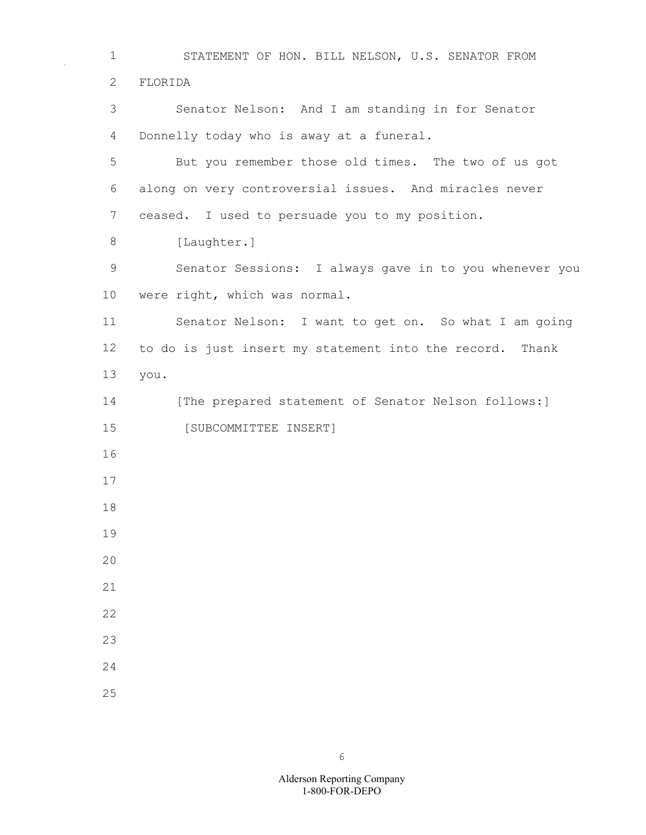STATEMENT OF HON. BILL NELSON, U.S. SENATOR FROM FLORIDA Senator Nelson: And I am standing in for Senator Donnelly today who is away at a funeral. But you remember those old times. The two of us got along on very controversial issues. And miracles never ceased. I used to persuade you to my position. 8 [Laughter.] Senator Sessions: I always gave in to you whenever you were right, which was normal. Senator Nelson: I want to get on. So what I am going to do is just insert my statement into the record. Thank you. 14 [The prepared statement of Senator Nelson follows:] [SUBCOMMITTEE INSERT]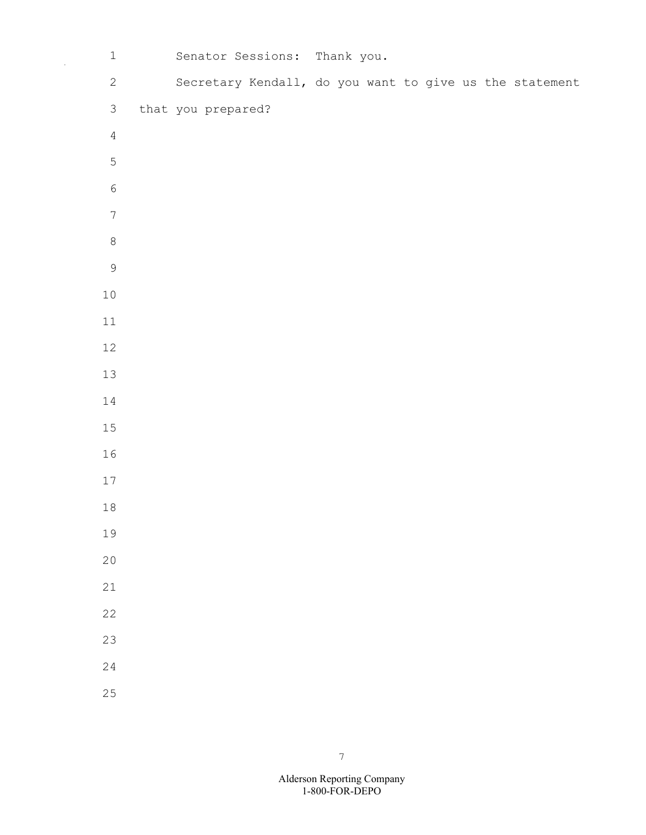| $\,1\,$          |                    | Senator Sessions: Thank you.                            |  |  |  |  |  |
|------------------|--------------------|---------------------------------------------------------|--|--|--|--|--|
| $\sqrt{2}$       |                    | Secretary Kendall, do you want to give us the statement |  |  |  |  |  |
| $\mathfrak{Z}$   | that you prepared? |                                                         |  |  |  |  |  |
| $\sqrt{4}$       |                    |                                                         |  |  |  |  |  |
| $\mathsf S$      |                    |                                                         |  |  |  |  |  |
| $\epsilon$       |                    |                                                         |  |  |  |  |  |
| $\boldsymbol{7}$ |                    |                                                         |  |  |  |  |  |
| $\,8\,$          |                    |                                                         |  |  |  |  |  |
| $\mathsf 9$      |                    |                                                         |  |  |  |  |  |
| $10$             |                    |                                                         |  |  |  |  |  |
| 11               |                    |                                                         |  |  |  |  |  |
| 12               |                    |                                                         |  |  |  |  |  |
| 13               |                    |                                                         |  |  |  |  |  |
| 14               |                    |                                                         |  |  |  |  |  |
| 15               |                    |                                                         |  |  |  |  |  |
| 16               |                    |                                                         |  |  |  |  |  |
| 17               |                    |                                                         |  |  |  |  |  |
| $18\,$           |                    |                                                         |  |  |  |  |  |
| 19               |                    |                                                         |  |  |  |  |  |
| 20               |                    |                                                         |  |  |  |  |  |
| 21               |                    |                                                         |  |  |  |  |  |
| $\overline{22}$  |                    |                                                         |  |  |  |  |  |
| 23               |                    |                                                         |  |  |  |  |  |
| 24               |                    |                                                         |  |  |  |  |  |
| 25               |                    |                                                         |  |  |  |  |  |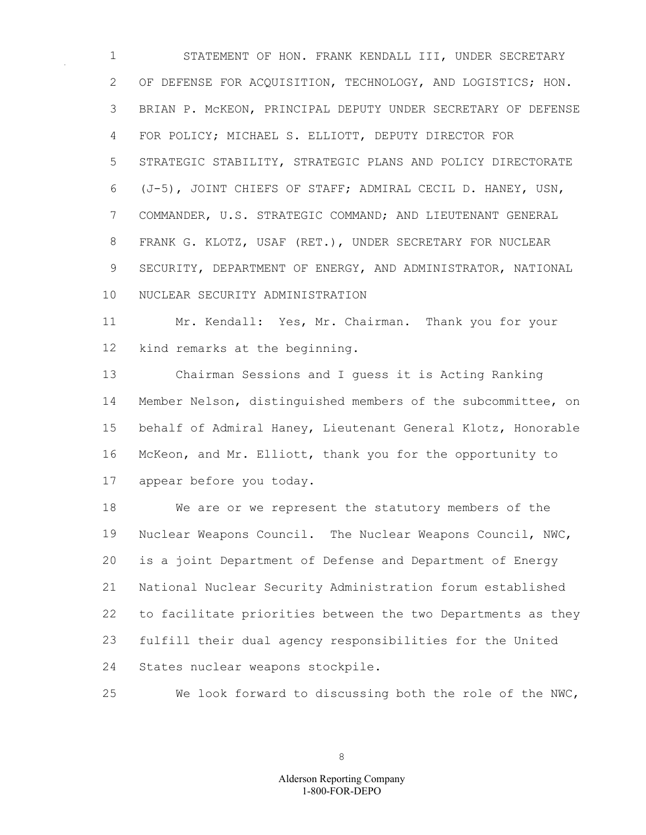STATEMENT OF HON. FRANK KENDALL III, UNDER SECRETARY OF DEFENSE FOR ACQUISITION, TECHNOLOGY, AND LOGISTICS; HON. BRIAN P. McKEON, PRINCIPAL DEPUTY UNDER SECRETARY OF DEFENSE FOR POLICY; MICHAEL S. ELLIOTT, DEPUTY DIRECTOR FOR STRATEGIC STABILITY, STRATEGIC PLANS AND POLICY DIRECTORATE (J-5), JOINT CHIEFS OF STAFF; ADMIRAL CECIL D. HANEY, USN, COMMANDER, U.S. STRATEGIC COMMAND; AND LIEUTENANT GENERAL FRANK G. KLOTZ, USAF (RET.), UNDER SECRETARY FOR NUCLEAR SECURITY, DEPARTMENT OF ENERGY, AND ADMINISTRATOR, NATIONAL NUCLEAR SECURITY ADMINISTRATION

 Mr. Kendall: Yes, Mr. Chairman. Thank you for your kind remarks at the beginning.

 Chairman Sessions and I guess it is Acting Ranking Member Nelson, distinguished members of the subcommittee, on behalf of Admiral Haney, Lieutenant General Klotz, Honorable McKeon, and Mr. Elliott, thank you for the opportunity to appear before you today.

 We are or we represent the statutory members of the Nuclear Weapons Council. The Nuclear Weapons Council, NWC, is a joint Department of Defense and Department of Energy National Nuclear Security Administration forum established to facilitate priorities between the two Departments as they fulfill their dual agency responsibilities for the United States nuclear weapons stockpile.

We look forward to discussing both the role of the NWC,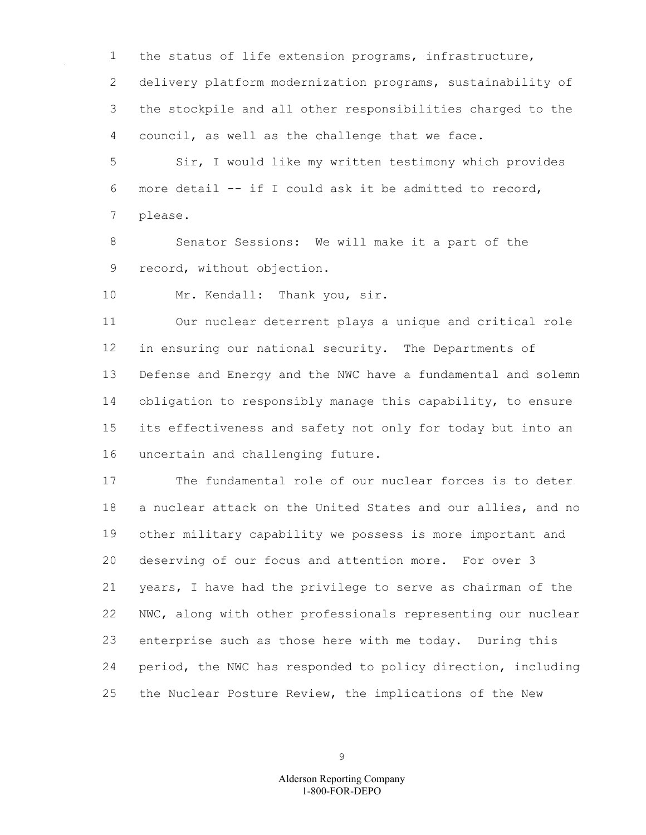the status of life extension programs, infrastructure, delivery platform modernization programs, sustainability of the stockpile and all other responsibilities charged to the council, as well as the challenge that we face.

 Sir, I would like my written testimony which provides more detail -- if I could ask it be admitted to record, please.

 Senator Sessions: We will make it a part of the record, without objection.

10 Mr. Kendall: Thank you, sir.

 Our nuclear deterrent plays a unique and critical role in ensuring our national security. The Departments of Defense and Energy and the NWC have a fundamental and solemn obligation to responsibly manage this capability, to ensure its effectiveness and safety not only for today but into an uncertain and challenging future.

 The fundamental role of our nuclear forces is to deter a nuclear attack on the United States and our allies, and no other military capability we possess is more important and deserving of our focus and attention more. For over 3 years, I have had the privilege to serve as chairman of the NWC, along with other professionals representing our nuclear enterprise such as those here with me today. During this period, the NWC has responded to policy direction, including the Nuclear Posture Review, the implications of the New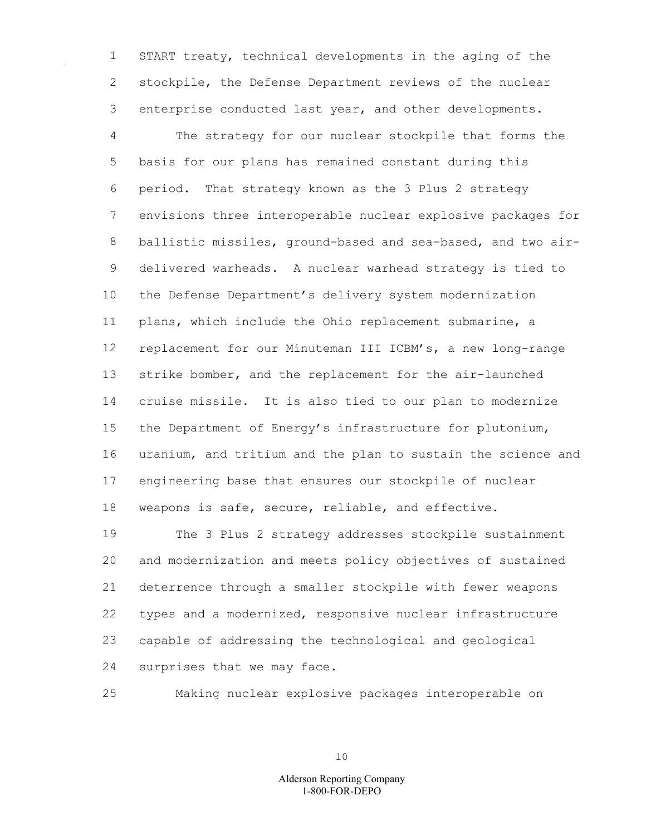START treaty, technical developments in the aging of the stockpile, the Defense Department reviews of the nuclear enterprise conducted last year, and other developments.

 The strategy for our nuclear stockpile that forms the basis for our plans has remained constant during this period. That strategy known as the 3 Plus 2 strategy envisions three interoperable nuclear explosive packages for ballistic missiles, ground-based and sea-based, and two air- delivered warheads. A nuclear warhead strategy is tied to the Defense Department's delivery system modernization plans, which include the Ohio replacement submarine, a replacement for our Minuteman III ICBM's, a new long-range strike bomber, and the replacement for the air-launched cruise missile. It is also tied to our plan to modernize the Department of Energy's infrastructure for plutonium, uranium, and tritium and the plan to sustain the science and engineering base that ensures our stockpile of nuclear weapons is safe, secure, reliable, and effective.

 The 3 Plus 2 strategy addresses stockpile sustainment and modernization and meets policy objectives of sustained deterrence through a smaller stockpile with fewer weapons types and a modernized, responsive nuclear infrastructure capable of addressing the technological and geological surprises that we may face.

Making nuclear explosive packages interoperable on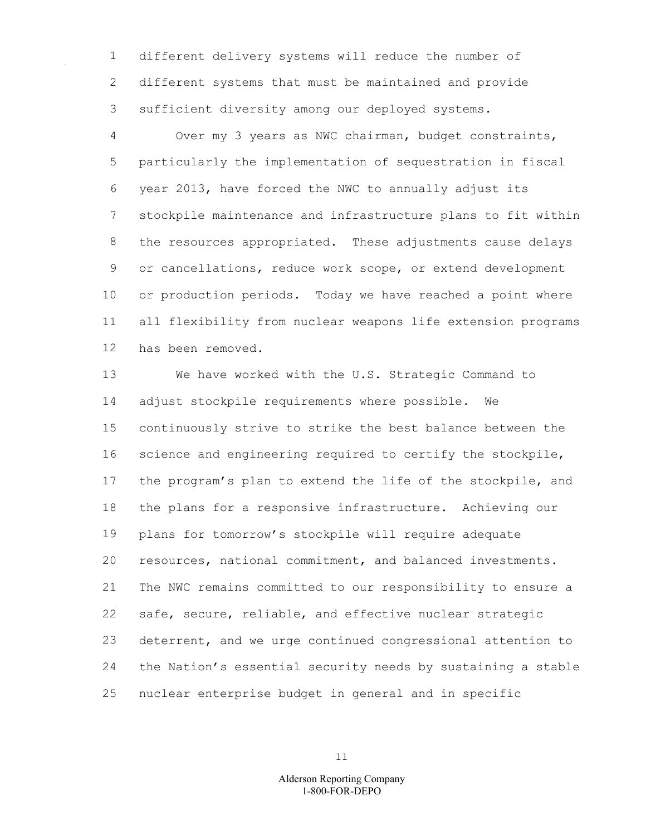different delivery systems will reduce the number of different systems that must be maintained and provide sufficient diversity among our deployed systems.

 Over my 3 years as NWC chairman, budget constraints, particularly the implementation of sequestration in fiscal year 2013, have forced the NWC to annually adjust its stockpile maintenance and infrastructure plans to fit within the resources appropriated. These adjustments cause delays or cancellations, reduce work scope, or extend development or production periods. Today we have reached a point where all flexibility from nuclear weapons life extension programs has been removed.

 We have worked with the U.S. Strategic Command to adjust stockpile requirements where possible. We continuously strive to strike the best balance between the science and engineering required to certify the stockpile, the program's plan to extend the life of the stockpile, and the plans for a responsive infrastructure. Achieving our plans for tomorrow's stockpile will require adequate resources, national commitment, and balanced investments. The NWC remains committed to our responsibility to ensure a safe, secure, reliable, and effective nuclear strategic deterrent, and we urge continued congressional attention to the Nation's essential security needs by sustaining a stable nuclear enterprise budget in general and in specific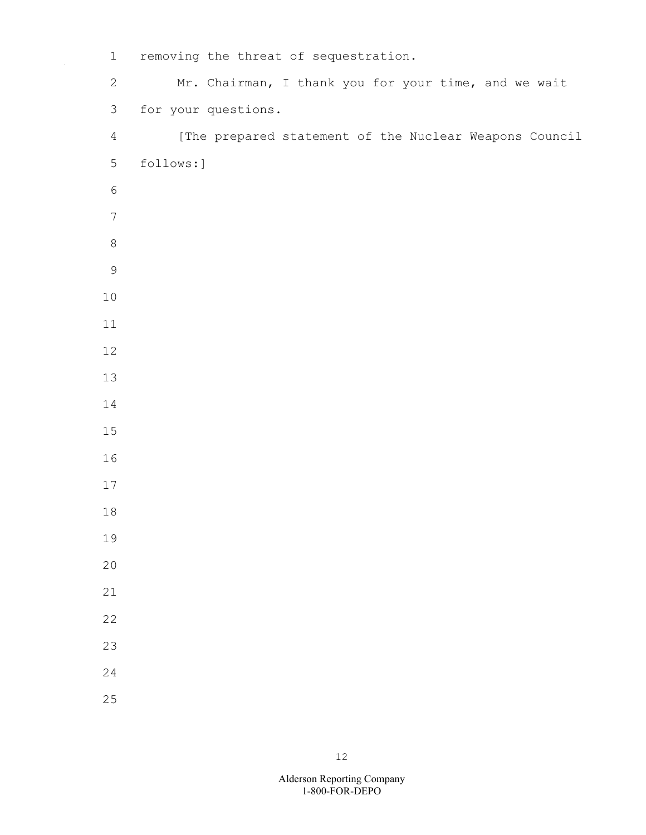1 removing the threat of sequestration. 2 Mr. Chairman, I thank you for your time, and we wait 3 for your questions. 4 [The prepared statement of the Nuclear Weapons Council 5 follows:]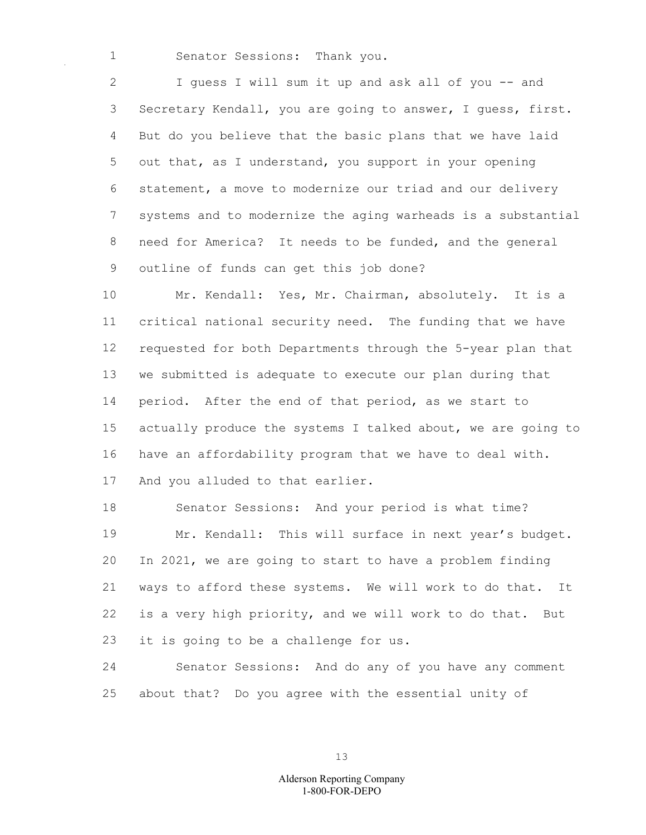Senator Sessions: Thank you.

 I guess I will sum it up and ask all of you -- and Secretary Kendall, you are going to answer, I guess, first. But do you believe that the basic plans that we have laid out that, as I understand, you support in your opening statement, a move to modernize our triad and our delivery systems and to modernize the aging warheads is a substantial need for America? It needs to be funded, and the general outline of funds can get this job done?

 Mr. Kendall: Yes, Mr. Chairman, absolutely. It is a critical national security need. The funding that we have requested for both Departments through the 5-year plan that we submitted is adequate to execute our plan during that period. After the end of that period, as we start to actually produce the systems I talked about, we are going to have an affordability program that we have to deal with. And you alluded to that earlier.

 Senator Sessions: And your period is what time? Mr. Kendall: This will surface in next year's budget. In 2021, we are going to start to have a problem finding ways to afford these systems. We will work to do that. It is a very high priority, and we will work to do that. But it is going to be a challenge for us.

 Senator Sessions: And do any of you have any comment about that? Do you agree with the essential unity of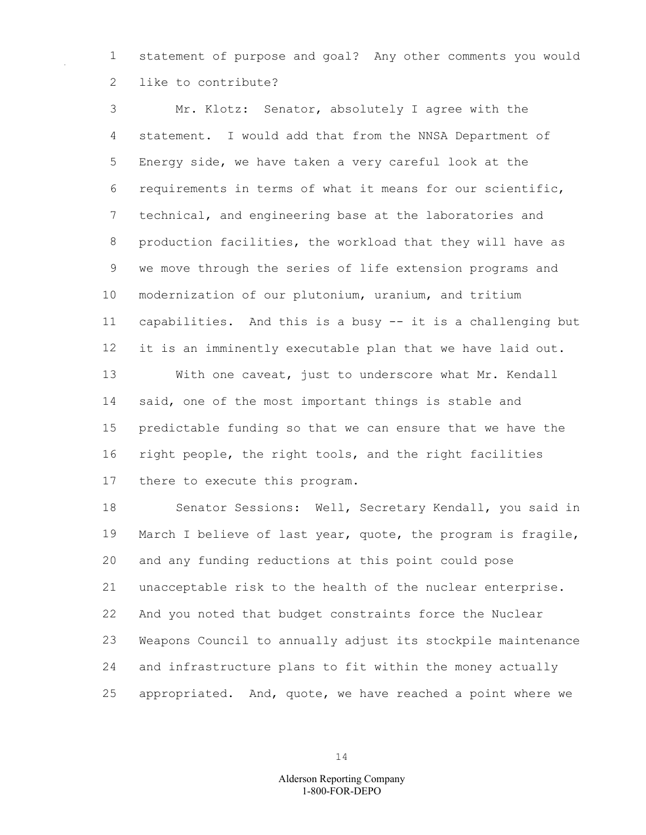statement of purpose and goal? Any other comments you would like to contribute?

 Mr. Klotz: Senator, absolutely I agree with the statement. I would add that from the NNSA Department of Energy side, we have taken a very careful look at the requirements in terms of what it means for our scientific, technical, and engineering base at the laboratories and production facilities, the workload that they will have as we move through the series of life extension programs and modernization of our plutonium, uranium, and tritium capabilities. And this is a busy -- it is a challenging but it is an imminently executable plan that we have laid out. With one caveat, just to underscore what Mr. Kendall said, one of the most important things is stable and predictable funding so that we can ensure that we have the right people, the right tools, and the right facilities there to execute this program.

 Senator Sessions: Well, Secretary Kendall, you said in March I believe of last year, quote, the program is fragile, and any funding reductions at this point could pose unacceptable risk to the health of the nuclear enterprise. And you noted that budget constraints force the Nuclear Weapons Council to annually adjust its stockpile maintenance and infrastructure plans to fit within the money actually appropriated. And, quote, we have reached a point where we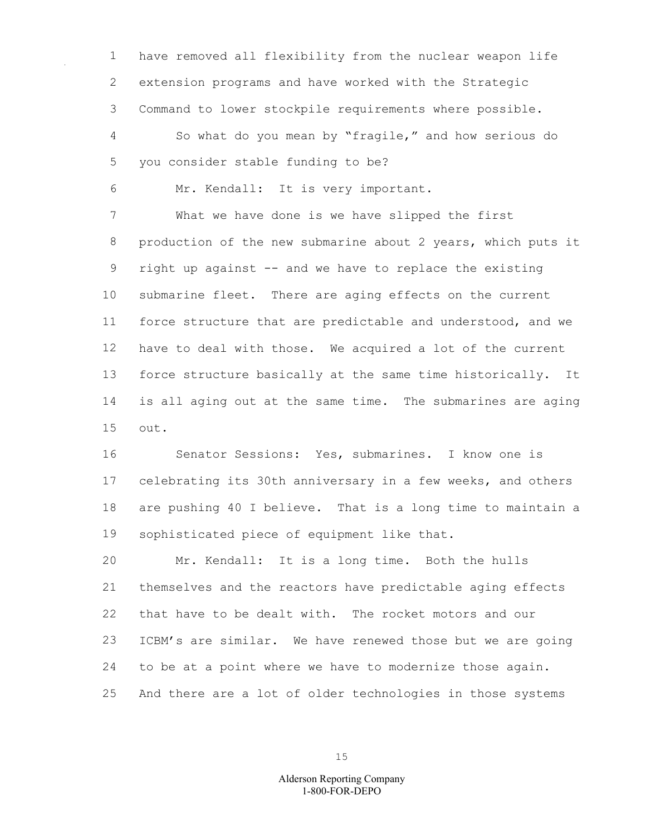have removed all flexibility from the nuclear weapon life extension programs and have worked with the Strategic Command to lower stockpile requirements where possible. So what do you mean by "fragile," and how serious do you consider stable funding to be?

Mr. Kendall: It is very important.

 What we have done is we have slipped the first production of the new submarine about 2 years, which puts it right up against -- and we have to replace the existing submarine fleet. There are aging effects on the current force structure that are predictable and understood, and we have to deal with those. We acquired a lot of the current force structure basically at the same time historically. It is all aging out at the same time. The submarines are aging out.

 Senator Sessions: Yes, submarines. I know one is celebrating its 30th anniversary in a few weeks, and others are pushing 40 I believe. That is a long time to maintain a sophisticated piece of equipment like that.

 Mr. Kendall: It is a long time. Both the hulls themselves and the reactors have predictable aging effects that have to be dealt with. The rocket motors and our ICBM's are similar. We have renewed those but we are going to be at a point where we have to modernize those again. And there are a lot of older technologies in those systems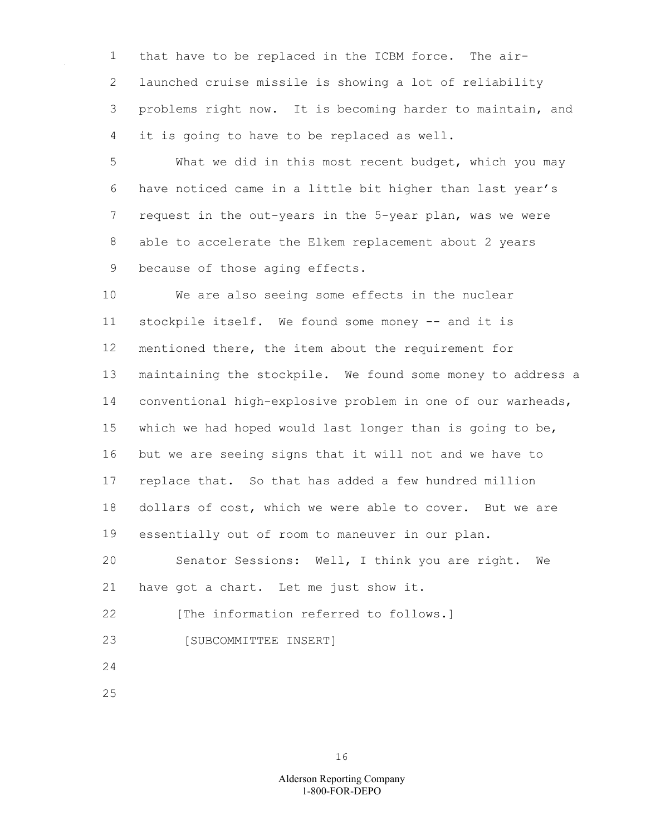that have to be replaced in the ICBM force. The air- launched cruise missile is showing a lot of reliability problems right now. It is becoming harder to maintain, and it is going to have to be replaced as well.

 What we did in this most recent budget, which you may have noticed came in a little bit higher than last year's request in the out-years in the 5-year plan, was we were able to accelerate the Elkem replacement about 2 years because of those aging effects.

 We are also seeing some effects in the nuclear stockpile itself. We found some money -- and it is mentioned there, the item about the requirement for maintaining the stockpile. We found some money to address a conventional high-explosive problem in one of our warheads, which we had hoped would last longer than is going to be, but we are seeing signs that it will not and we have to replace that. So that has added a few hundred million dollars of cost, which we were able to cover. But we are essentially out of room to maneuver in our plan.

 Senator Sessions: Well, I think you are right. We have got a chart. Let me just show it.

22 [The information referred to follows.]

- [SUBCOMMITTEE INSERT]
- 
-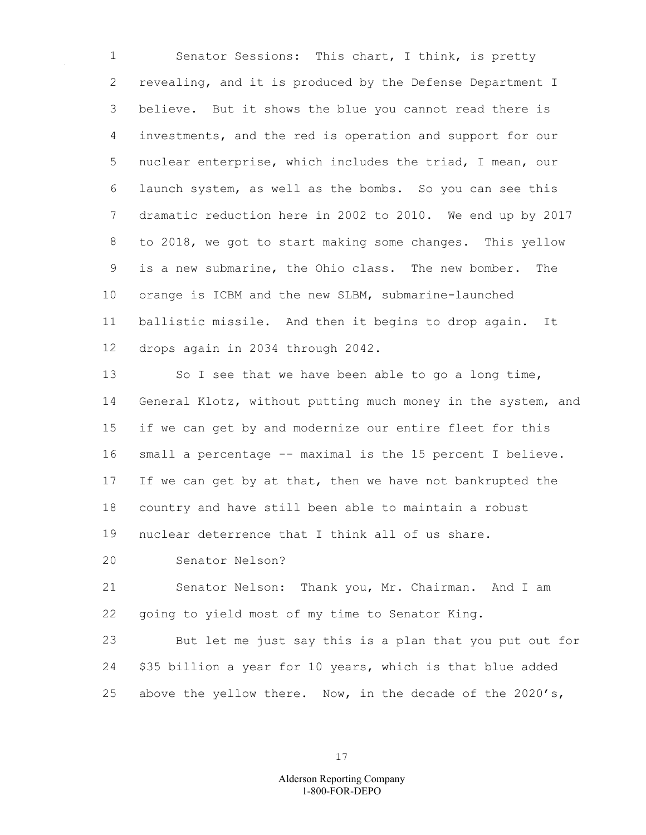Senator Sessions: This chart, I think, is pretty revealing, and it is produced by the Defense Department I believe. But it shows the blue you cannot read there is investments, and the red is operation and support for our nuclear enterprise, which includes the triad, I mean, our launch system, as well as the bombs. So you can see this dramatic reduction here in 2002 to 2010. We end up by 2017 to 2018, we got to start making some changes. This yellow is a new submarine, the Ohio class. The new bomber. The orange is ICBM and the new SLBM, submarine-launched ballistic missile. And then it begins to drop again. It drops again in 2034 through 2042.

13 So I see that we have been able to go a long time, General Klotz, without putting much money in the system, and if we can get by and modernize our entire fleet for this 16 small a percentage -- maximal is the 15 percent I believe. 17 If we can get by at that, then we have not bankrupted the country and have still been able to maintain a robust nuclear deterrence that I think all of us share.

Senator Nelson?

 Senator Nelson: Thank you, Mr. Chairman. And I am going to yield most of my time to Senator King.

 But let me just say this is a plan that you put out for \$35 billion a year for 10 years, which is that blue added above the yellow there. Now, in the decade of the 2020's,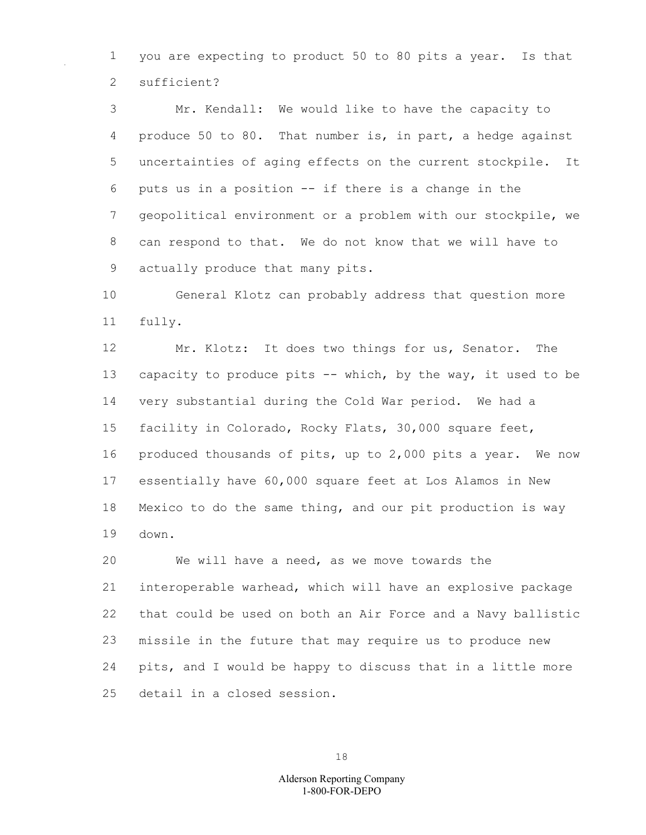you are expecting to product 50 to 80 pits a year. Is that sufficient?

 Mr. Kendall: We would like to have the capacity to produce 50 to 80. That number is, in part, a hedge against uncertainties of aging effects on the current stockpile. It puts us in a position -- if there is a change in the geopolitical environment or a problem with our stockpile, we can respond to that. We do not know that we will have to actually produce that many pits.

 General Klotz can probably address that question more fully.

 Mr. Klotz: It does two things for us, Senator. The capacity to produce pits -- which, by the way, it used to be very substantial during the Cold War period. We had a facility in Colorado, Rocky Flats, 30,000 square feet, produced thousands of pits, up to 2,000 pits a year. We now essentially have 60,000 square feet at Los Alamos in New Mexico to do the same thing, and our pit production is way down.

 We will have a need, as we move towards the interoperable warhead, which will have an explosive package that could be used on both an Air Force and a Navy ballistic missile in the future that may require us to produce new pits, and I would be happy to discuss that in a little more detail in a closed session.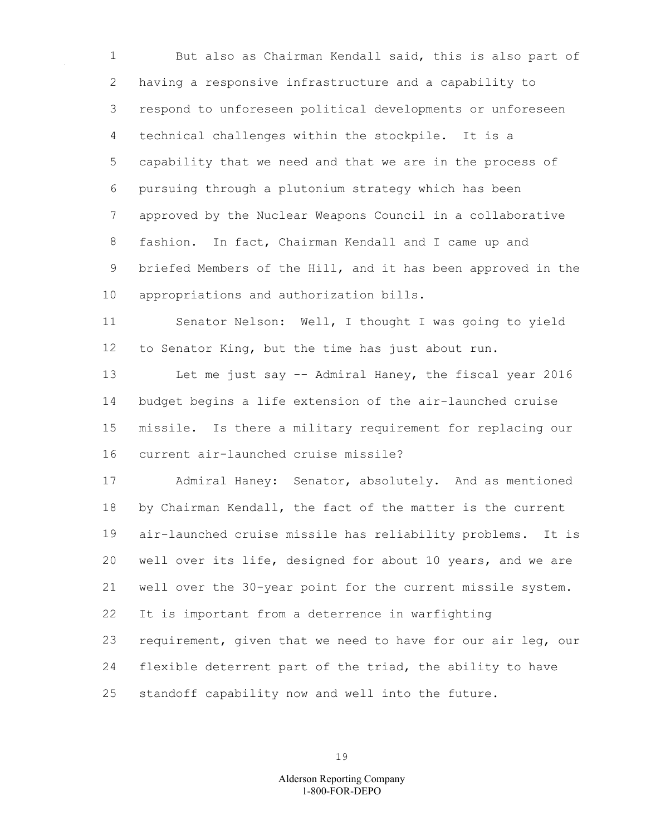But also as Chairman Kendall said, this is also part of having a responsive infrastructure and a capability to respond to unforeseen political developments or unforeseen technical challenges within the stockpile. It is a capability that we need and that we are in the process of pursuing through a plutonium strategy which has been approved by the Nuclear Weapons Council in a collaborative fashion. In fact, Chairman Kendall and I came up and briefed Members of the Hill, and it has been approved in the appropriations and authorization bills.

 Senator Nelson: Well, I thought I was going to yield to Senator King, but the time has just about run.

 Let me just say -- Admiral Haney, the fiscal year 2016 budget begins a life extension of the air-launched cruise missile. Is there a military requirement for replacing our current air-launched cruise missile?

 Admiral Haney: Senator, absolutely. And as mentioned by Chairman Kendall, the fact of the matter is the current air-launched cruise missile has reliability problems. It is well over its life, designed for about 10 years, and we are well over the 30-year point for the current missile system. It is important from a deterrence in warfighting requirement, given that we need to have for our air leg, our flexible deterrent part of the triad, the ability to have standoff capability now and well into the future.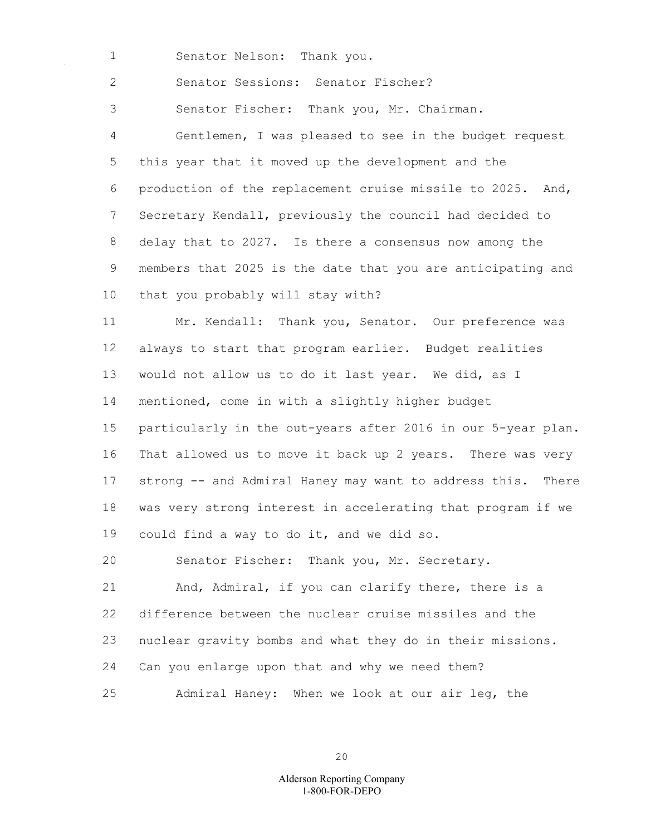Senator Nelson: Thank you.

Senator Sessions: Senator Fischer?

Senator Fischer: Thank you, Mr. Chairman.

 Gentlemen, I was pleased to see in the budget request this year that it moved up the development and the production of the replacement cruise missile to 2025. And, Secretary Kendall, previously the council had decided to delay that to 2027. Is there a consensus now among the members that 2025 is the date that you are anticipating and that you probably will stay with?

 Mr. Kendall: Thank you, Senator. Our preference was always to start that program earlier. Budget realities would not allow us to do it last year. We did, as I mentioned, come in with a slightly higher budget particularly in the out-years after 2016 in our 5-year plan. That allowed us to move it back up 2 years. There was very strong -- and Admiral Haney may want to address this. There was very strong interest in accelerating that program if we could find a way to do it, and we did so.

Senator Fischer: Thank you, Mr. Secretary.

 And, Admiral, if you can clarify there, there is a difference between the nuclear cruise missiles and the nuclear gravity bombs and what they do in their missions. Can you enlarge upon that and why we need them? Admiral Haney: When we look at our air leg, the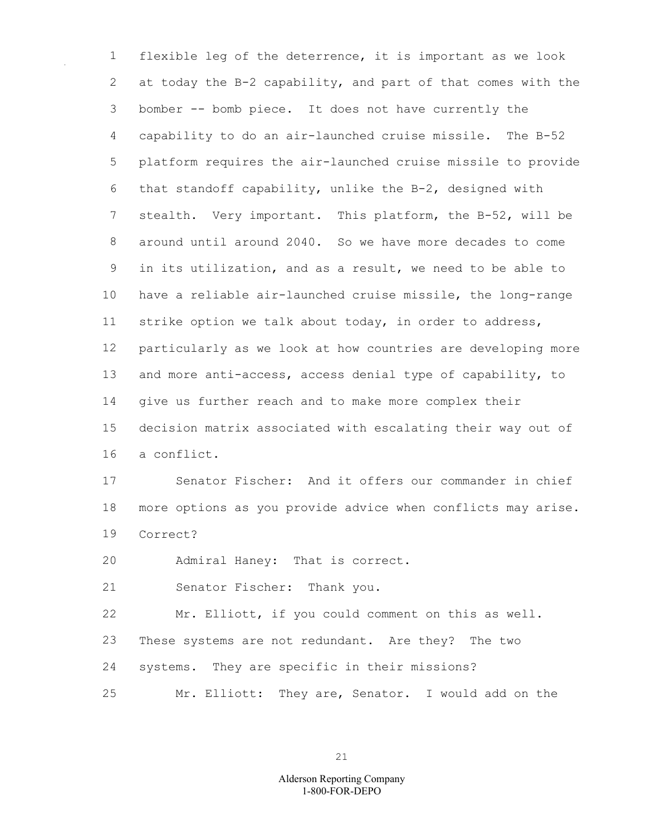flexible leg of the deterrence, it is important as we look at today the B-2 capability, and part of that comes with the bomber -- bomb piece. It does not have currently the capability to do an air-launched cruise missile. The B-52 platform requires the air-launched cruise missile to provide that standoff capability, unlike the B-2, designed with stealth. Very important. This platform, the B-52, will be around until around 2040. So we have more decades to come in its utilization, and as a result, we need to be able to have a reliable air-launched cruise missile, the long-range strike option we talk about today, in order to address, particularly as we look at how countries are developing more and more anti-access, access denial type of capability, to give us further reach and to make more complex their decision matrix associated with escalating their way out of a conflict.

 Senator Fischer: And it offers our commander in chief more options as you provide advice when conflicts may arise. Correct?

Admiral Haney: That is correct.

Senator Fischer: Thank you.

Mr. Elliott, if you could comment on this as well.

These systems are not redundant. Are they? The two

- systems. They are specific in their missions?
- Mr. Elliott: They are, Senator. I would add on the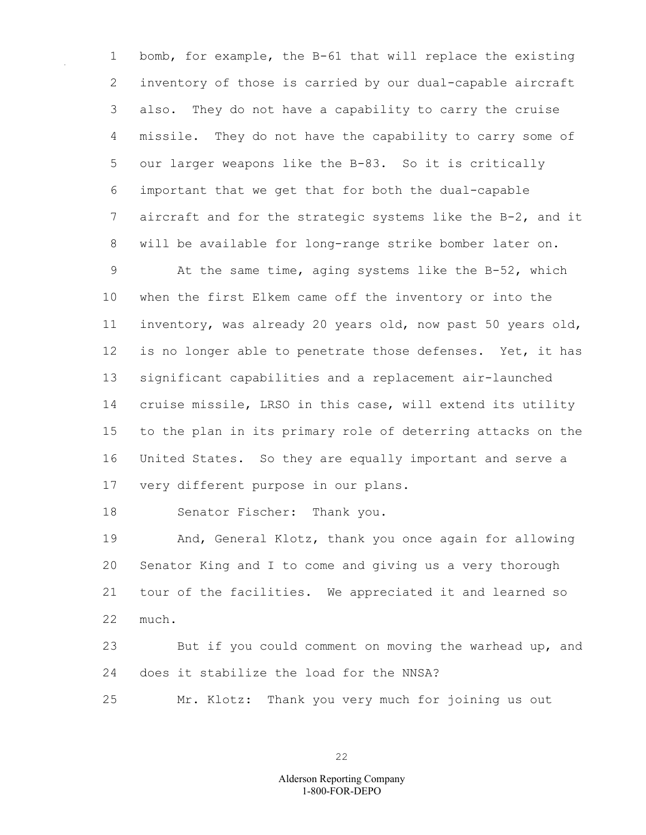1 bomb, for example, the B-61 that will replace the existing 2 inventory of those is carried by our dual-capable aircraft 3 also. They do not have a capability to carry the cruise 4 missile. They do not have the capability to carry some of 5 our larger weapons like the B-83. So it is critically 6 important that we get that for both the dual-capable 7 aircraft and for the strategic systems like the B-2, and it 8 will be available for long-range strike bomber later on. 9 At the same time, aging systems like the B-52, which

10 when the first Elkem came off the inventory or into the 11 inventory, was already 20 years old, now past 50 years old, 12 is no longer able to penetrate those defenses. Yet, it has 13 significant capabilities and a replacement air-launched 14 cruise missile, LRSO in this case, will extend its utility 15 to the plan in its primary role of deterring attacks on the 16 United States. So they are equally important and serve a 17 very different purpose in our plans.

18 Senator Fischer: Thank you.

19 And, General Klotz, thank you once again for allowing 20 Senator King and I to come and giving us a very thorough 21 tour of the facilities. We appreciated it and learned so 22 much.

23 But if you could comment on moving the warhead up, and 24 does it stabilize the load for the NNSA?

25 Mr. Klotz: Thank you very much for joining us out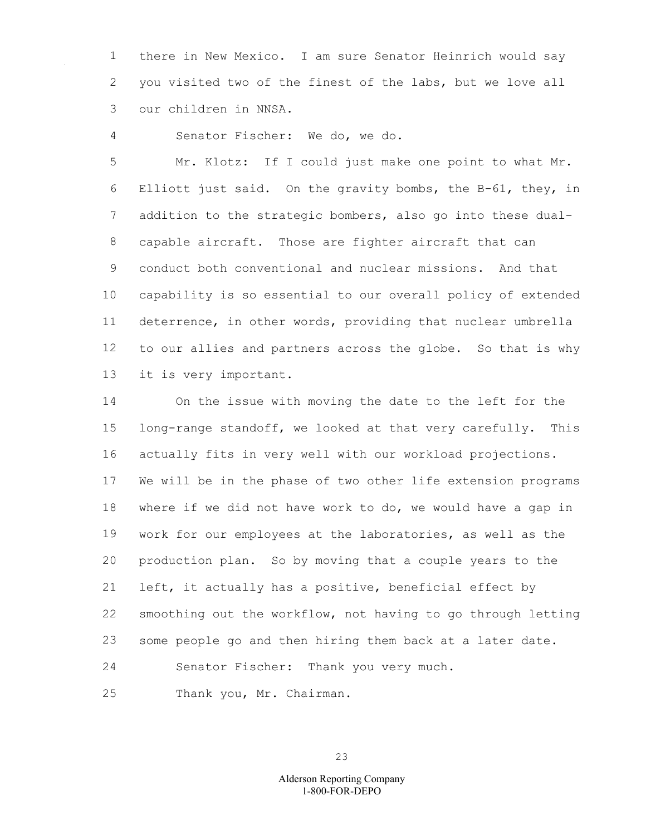there in New Mexico. I am sure Senator Heinrich would say you visited two of the finest of the labs, but we love all our children in NNSA.

Senator Fischer: We do, we do.

 Mr. Klotz: If I could just make one point to what Mr. Elliott just said. On the gravity bombs, the B-61, they, in addition to the strategic bombers, also go into these dual- capable aircraft. Those are fighter aircraft that can conduct both conventional and nuclear missions. And that capability is so essential to our overall policy of extended deterrence, in other words, providing that nuclear umbrella to our allies and partners across the globe. So that is why it is very important.

 On the issue with moving the date to the left for the long-range standoff, we looked at that very carefully. This actually fits in very well with our workload projections. We will be in the phase of two other life extension programs where if we did not have work to do, we would have a gap in work for our employees at the laboratories, as well as the production plan. So by moving that a couple years to the left, it actually has a positive, beneficial effect by smoothing out the workflow, not having to go through letting some people go and then hiring them back at a later date. Senator Fischer: Thank you very much.

Thank you, Mr. Chairman.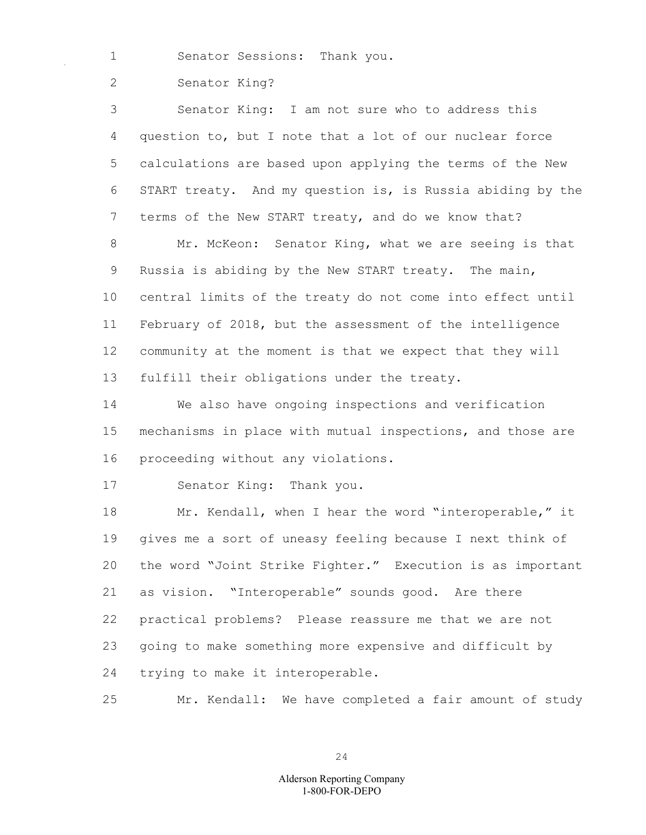1 Senator Sessions: Thank you.

2 Senator King?

3 Senator King: I am not sure who to address this 4 question to, but I note that a lot of our nuclear force 5 calculations are based upon applying the terms of the New 6 START treaty. And my question is, is Russia abiding by the 7 terms of the New START treaty, and do we know that? 8 Mr. McKeon: Senator King, what we are seeing is that 9 Russia is abiding by the New START treaty. The main, 10 central limits of the treaty do not come into effect until 11 February of 2018, but the assessment of the intelligence 12 community at the moment is that we expect that they will 13 fulfill their obligations under the treaty.

14 We also have ongoing inspections and verification 15 mechanisms in place with mutual inspections, and those are 16 proceeding without any violations.

17 Senator King: Thank you.

18 Mr. Kendall, when I hear the word "interoperable," it 19 gives me a sort of uneasy feeling because I next think of 20 the word "Joint Strike Fighter." Execution is as important 21 as vision. "Interoperable" sounds good. Are there 22 practical problems? Please reassure me that we are not 23 going to make something more expensive and difficult by 24 trying to make it interoperable.

25 Mr. Kendall: We have completed a fair amount of study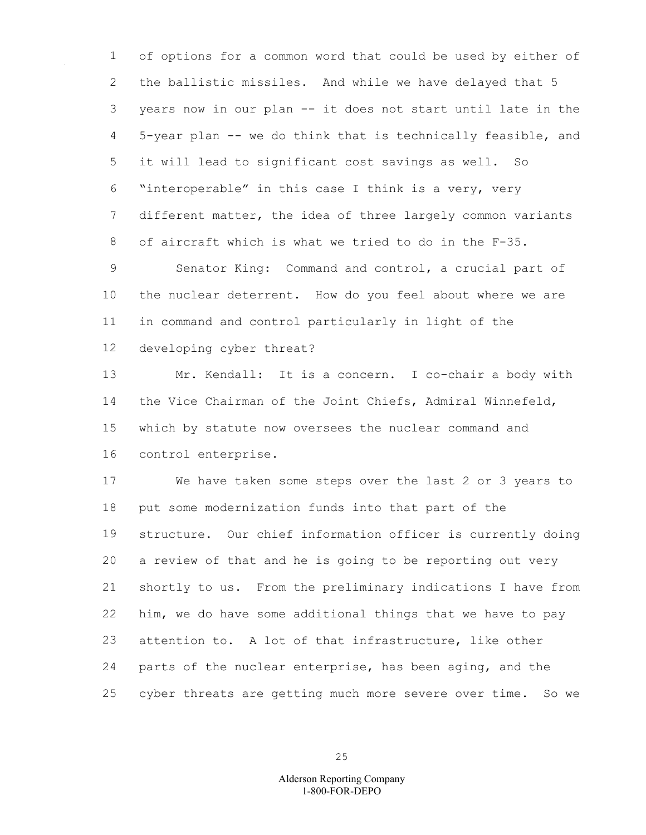of options for a common word that could be used by either of the ballistic missiles. And while we have delayed that 5 years now in our plan -- it does not start until late in the 5-year plan -- we do think that is technically feasible, and it will lead to significant cost savings as well. So "interoperable" in this case I think is a very, very different matter, the idea of three largely common variants of aircraft which is what we tried to do in the F-35.

 Senator King: Command and control, a crucial part of the nuclear deterrent. How do you feel about where we are in command and control particularly in light of the developing cyber threat?

 Mr. Kendall: It is a concern. I co-chair a body with the Vice Chairman of the Joint Chiefs, Admiral Winnefeld, which by statute now oversees the nuclear command and control enterprise.

 We have taken some steps over the last 2 or 3 years to put some modernization funds into that part of the structure. Our chief information officer is currently doing a review of that and he is going to be reporting out very shortly to us. From the preliminary indications I have from him, we do have some additional things that we have to pay attention to. A lot of that infrastructure, like other parts of the nuclear enterprise, has been aging, and the cyber threats are getting much more severe over time. So we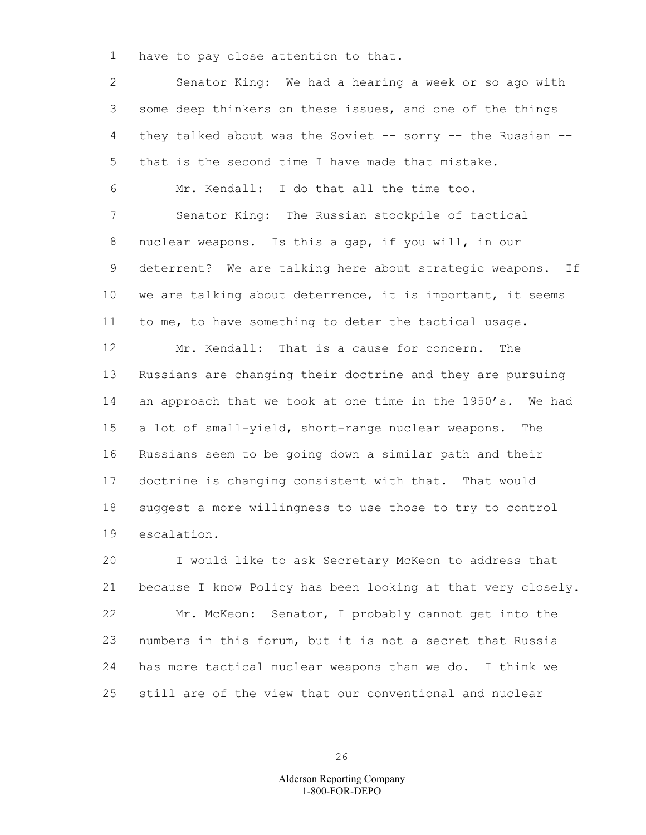have to pay close attention to that.

 Senator King: We had a hearing a week or so ago with some deep thinkers on these issues, and one of the things 4 they talked about was the Soviet -- sorry -- the Russian -- that is the second time I have made that mistake. Mr. Kendall: I do that all the time too. Senator King: The Russian stockpile of tactical nuclear weapons. Is this a gap, if you will, in our deterrent? We are talking here about strategic weapons. If we are talking about deterrence, it is important, it seems to me, to have something to deter the tactical usage. Mr. Kendall: That is a cause for concern. The Russians are changing their doctrine and they are pursuing an approach that we took at one time in the 1950's. We had a lot of small-yield, short-range nuclear weapons. The Russians seem to be going down a similar path and their doctrine is changing consistent with that. That would suggest a more willingness to use those to try to control escalation. I would like to ask Secretary McKeon to address that because I know Policy has been looking at that very closely.

 Mr. McKeon: Senator, I probably cannot get into the numbers in this forum, but it is not a secret that Russia has more tactical nuclear weapons than we do. I think we still are of the view that our conventional and nuclear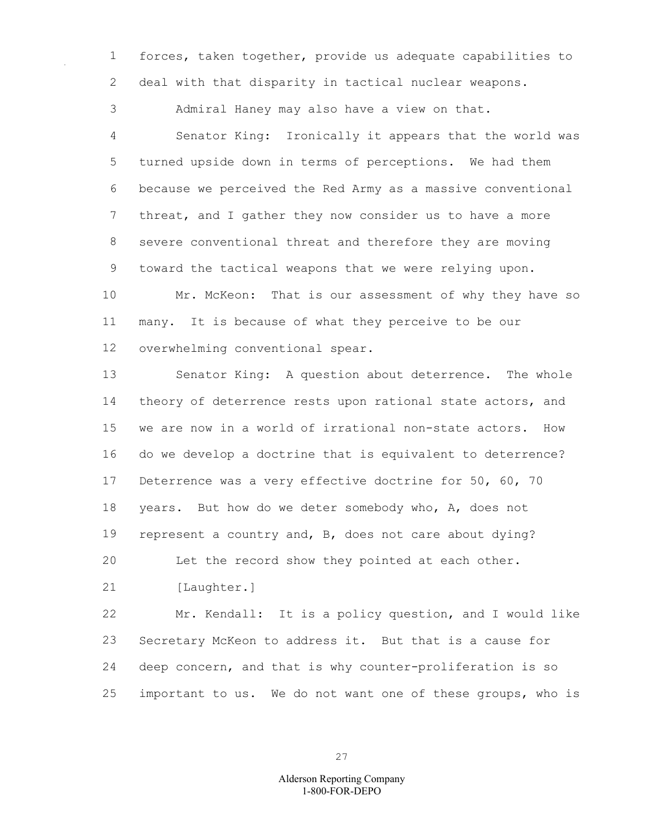forces, taken together, provide us adequate capabilities to deal with that disparity in tactical nuclear weapons.

 Admiral Haney may also have a view on that. Senator King: Ironically it appears that the world was turned upside down in terms of perceptions. We had them because we perceived the Red Army as a massive conventional threat, and I gather they now consider us to have a more severe conventional threat and therefore they are moving toward the tactical weapons that we were relying upon.

 Mr. McKeon: That is our assessment of why they have so many. It is because of what they perceive to be our overwhelming conventional spear.

 Senator King: A question about deterrence. The whole 14 theory of deterrence rests upon rational state actors, and we are now in a world of irrational non-state actors. How do we develop a doctrine that is equivalent to deterrence? Deterrence was a very effective doctrine for 50, 60, 70 years. But how do we deter somebody who, A, does not represent a country and, B, does not care about dying? Let the record show they pointed at each other.

21 [Laughter.]

 Mr. Kendall: It is a policy question, and I would like Secretary McKeon to address it. But that is a cause for deep concern, and that is why counter-proliferation is so important to us. We do not want one of these groups, who is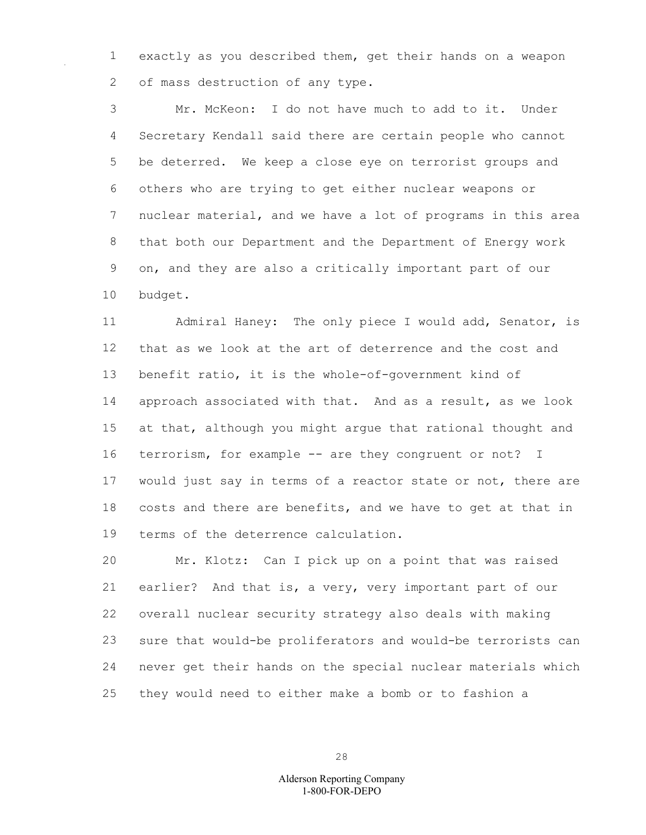exactly as you described them, get their hands on a weapon 2 of mass destruction of any type.

 Mr. McKeon: I do not have much to add to it. Under Secretary Kendall said there are certain people who cannot be deterred. We keep a close eye on terrorist groups and others who are trying to get either nuclear weapons or nuclear material, and we have a lot of programs in this area that both our Department and the Department of Energy work on, and they are also a critically important part of our budget.

 Admiral Haney: The only piece I would add, Senator, is that as we look at the art of deterrence and the cost and benefit ratio, it is the whole-of-government kind of approach associated with that. And as a result, as we look at that, although you might argue that rational thought and terrorism, for example -- are they congruent or not? I would just say in terms of a reactor state or not, there are costs and there are benefits, and we have to get at that in terms of the deterrence calculation.

 Mr. Klotz: Can I pick up on a point that was raised earlier? And that is, a very, very important part of our overall nuclear security strategy also deals with making sure that would-be proliferators and would-be terrorists can never get their hands on the special nuclear materials which they would need to either make a bomb or to fashion a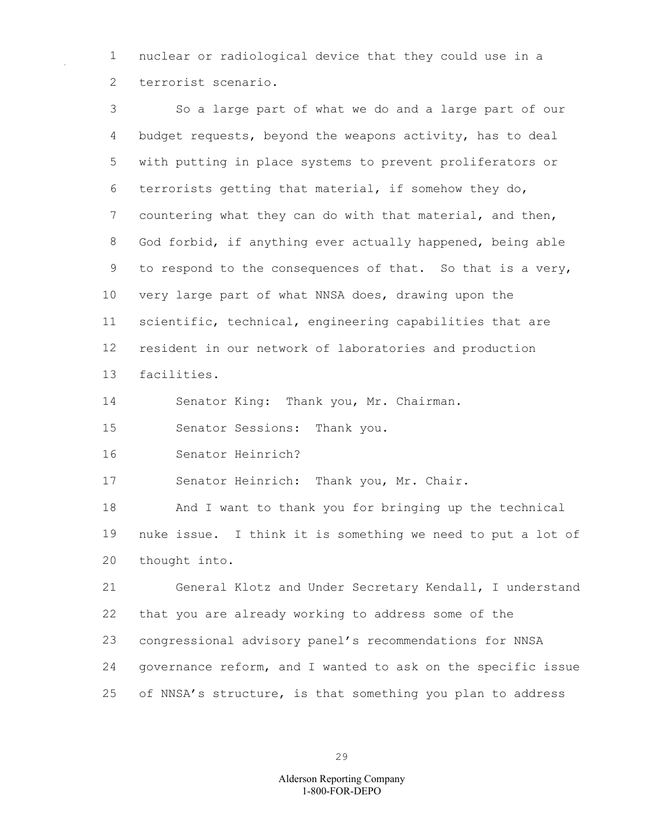nuclear or radiological device that they could use in a terrorist scenario.

 So a large part of what we do and a large part of our budget requests, beyond the weapons activity, has to deal with putting in place systems to prevent proliferators or terrorists getting that material, if somehow they do, countering what they can do with that material, and then, God forbid, if anything ever actually happened, being able to respond to the consequences of that. So that is a very, very large part of what NNSA does, drawing upon the scientific, technical, engineering capabilities that are resident in our network of laboratories and production facilities. Senator King: Thank you, Mr. Chairman. Senator Sessions: Thank you. Senator Heinrich? Senator Heinrich: Thank you, Mr. Chair. And I want to thank you for bringing up the technical nuke issue. I think it is something we need to put a lot of thought into. General Klotz and Under Secretary Kendall, I understand

 that you are already working to address some of the congressional advisory panel's recommendations for NNSA governance reform, and I wanted to ask on the specific issue of NNSA's structure, is that something you plan to address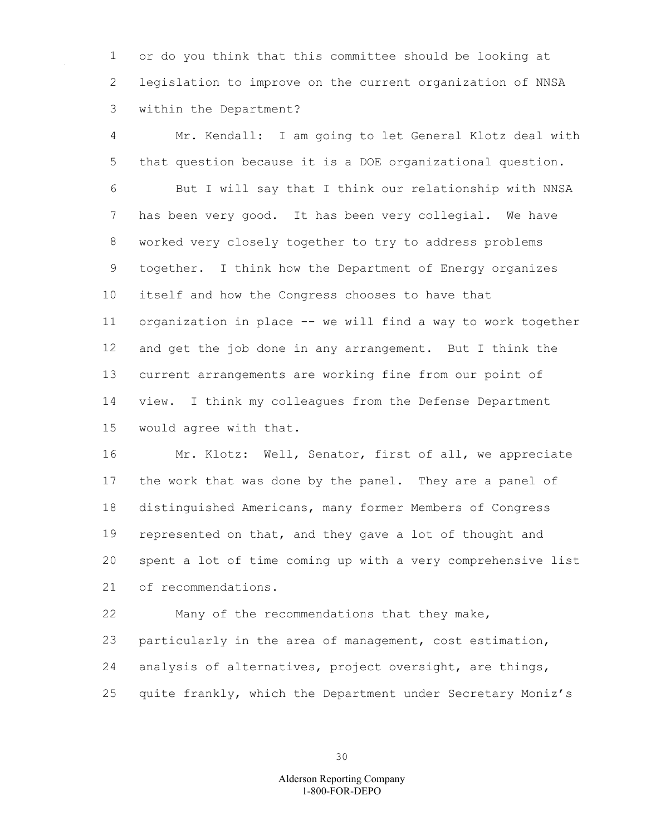or do you think that this committee should be looking at legislation to improve on the current organization of NNSA within the Department?

 Mr. Kendall: I am going to let General Klotz deal with that question because it is a DOE organizational question. But I will say that I think our relationship with NNSA has been very good. It has been very collegial. We have worked very closely together to try to address problems together. I think how the Department of Energy organizes itself and how the Congress chooses to have that organization in place -- we will find a way to work together and get the job done in any arrangement. But I think the current arrangements are working fine from our point of view. I think my colleagues from the Defense Department would agree with that.

 Mr. Klotz: Well, Senator, first of all, we appreciate the work that was done by the panel. They are a panel of distinguished Americans, many former Members of Congress represented on that, and they gave a lot of thought and spent a lot of time coming up with a very comprehensive list of recommendations.

 Many of the recommendations that they make, particularly in the area of management, cost estimation, analysis of alternatives, project oversight, are things, quite frankly, which the Department under Secretary Moniz's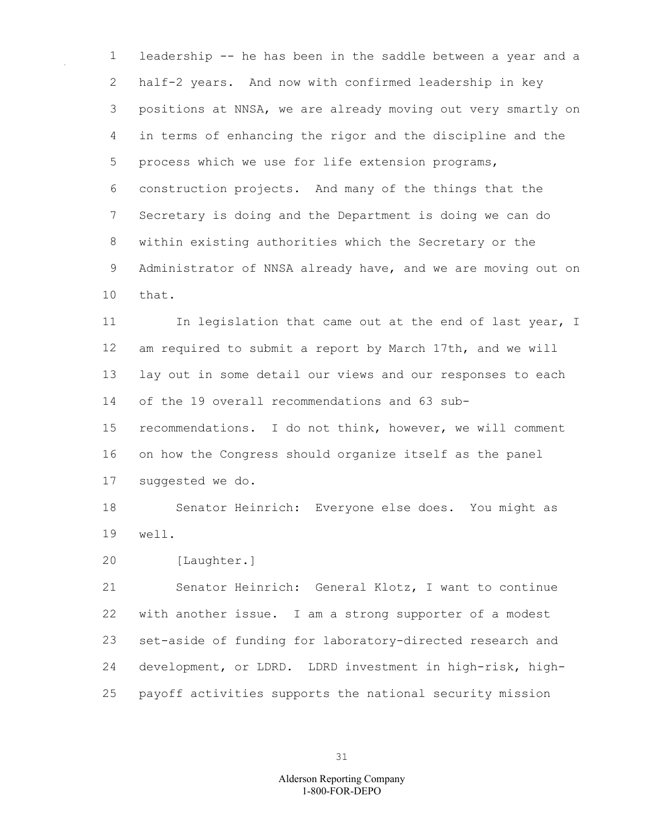leadership -- he has been in the saddle between a year and a half-2 years. And now with confirmed leadership in key positions at NNSA, we are already moving out very smartly on in terms of enhancing the rigor and the discipline and the process which we use for life extension programs, construction projects. And many of the things that the Secretary is doing and the Department is doing we can do within existing authorities which the Secretary or the Administrator of NNSA already have, and we are moving out on that.

11 In legislation that came out at the end of last year, I am required to submit a report by March 17th, and we will lay out in some detail our views and our responses to each of the 19 overall recommendations and 63 sub- recommendations. I do not think, however, we will comment on how the Congress should organize itself as the panel suggested we do.

 Senator Heinrich: Everyone else does. You might as well.

[Laughter.]

 Senator Heinrich: General Klotz, I want to continue with another issue. I am a strong supporter of a modest set-aside of funding for laboratory-directed research and development, or LDRD. LDRD investment in high-risk, high-payoff activities supports the national security mission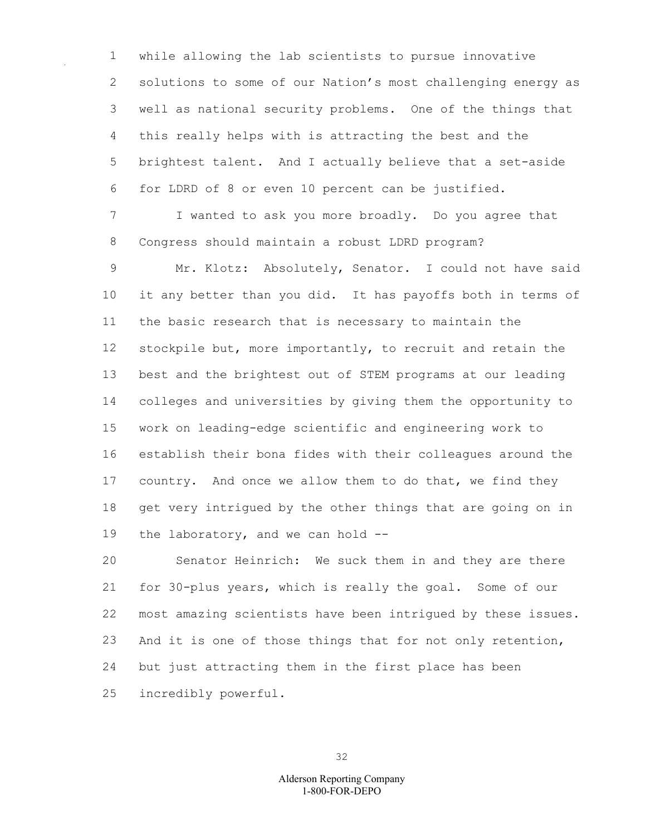while allowing the lab scientists to pursue innovative solutions to some of our Nation's most challenging energy as well as national security problems. One of the things that this really helps with is attracting the best and the brightest talent. And I actually believe that a set-aside for LDRD of 8 or even 10 percent can be justified.

 I wanted to ask you more broadly. Do you agree that Congress should maintain a robust LDRD program?

 Mr. Klotz: Absolutely, Senator. I could not have said it any better than you did. It has payoffs both in terms of the basic research that is necessary to maintain the 12 stockpile but, more importantly, to recruit and retain the best and the brightest out of STEM programs at our leading colleges and universities by giving them the opportunity to work on leading-edge scientific and engineering work to establish their bona fides with their colleagues around the country. And once we allow them to do that, we find they get very intrigued by the other things that are going on in 19 the laboratory, and we can hold --

 Senator Heinrich: We suck them in and they are there for 30-plus years, which is really the goal. Some of our most amazing scientists have been intrigued by these issues. And it is one of those things that for not only retention, but just attracting them in the first place has been incredibly powerful.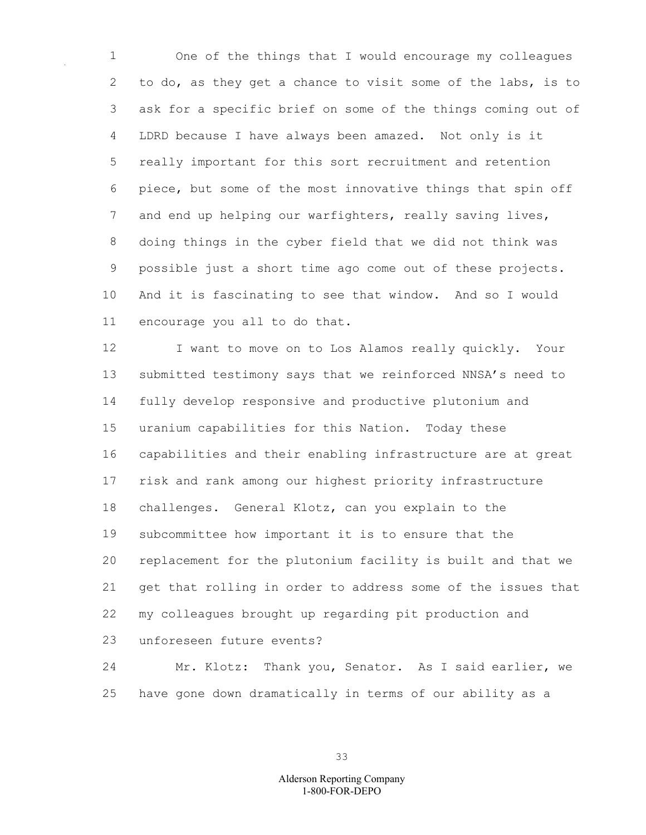One of the things that I would encourage my colleagues to do, as they get a chance to visit some of the labs, is to ask for a specific brief on some of the things coming out of LDRD because I have always been amazed. Not only is it really important for this sort recruitment and retention piece, but some of the most innovative things that spin off and end up helping our warfighters, really saving lives, doing things in the cyber field that we did not think was possible just a short time ago come out of these projects. And it is fascinating to see that window. And so I would encourage you all to do that.

12 I want to move on to Los Alamos really quickly. Your submitted testimony says that we reinforced NNSA's need to fully develop responsive and productive plutonium and uranium capabilities for this Nation. Today these capabilities and their enabling infrastructure are at great risk and rank among our highest priority infrastructure challenges. General Klotz, can you explain to the subcommittee how important it is to ensure that the replacement for the plutonium facility is built and that we get that rolling in order to address some of the issues that my colleagues brought up regarding pit production and unforeseen future events?

 Mr. Klotz: Thank you, Senator. As I said earlier, we have gone down dramatically in terms of our ability as a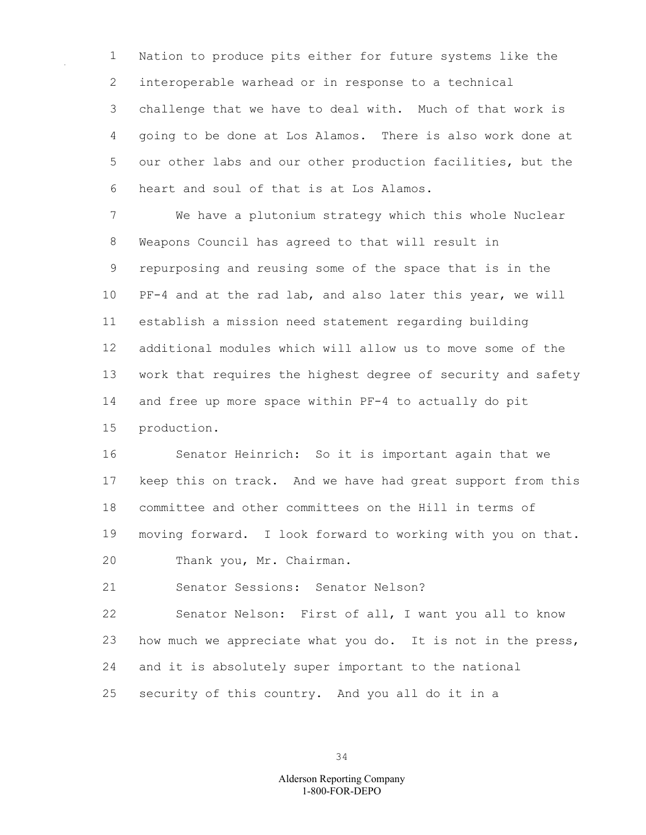Nation to produce pits either for future systems like the interoperable warhead or in response to a technical challenge that we have to deal with. Much of that work is going to be done at Los Alamos. There is also work done at our other labs and our other production facilities, but the heart and soul of that is at Los Alamos.

 We have a plutonium strategy which this whole Nuclear Weapons Council has agreed to that will result in repurposing and reusing some of the space that is in the PF-4 and at the rad lab, and also later this year, we will establish a mission need statement regarding building additional modules which will allow us to move some of the work that requires the highest degree of security and safety and free up more space within PF-4 to actually do pit production.

 Senator Heinrich: So it is important again that we keep this on track. And we have had great support from this committee and other committees on the Hill in terms of moving forward. I look forward to working with you on that.

Thank you, Mr. Chairman.

Senator Sessions: Senator Nelson?

 Senator Nelson: First of all, I want you all to know how much we appreciate what you do. It is not in the press, and it is absolutely super important to the national security of this country. And you all do it in a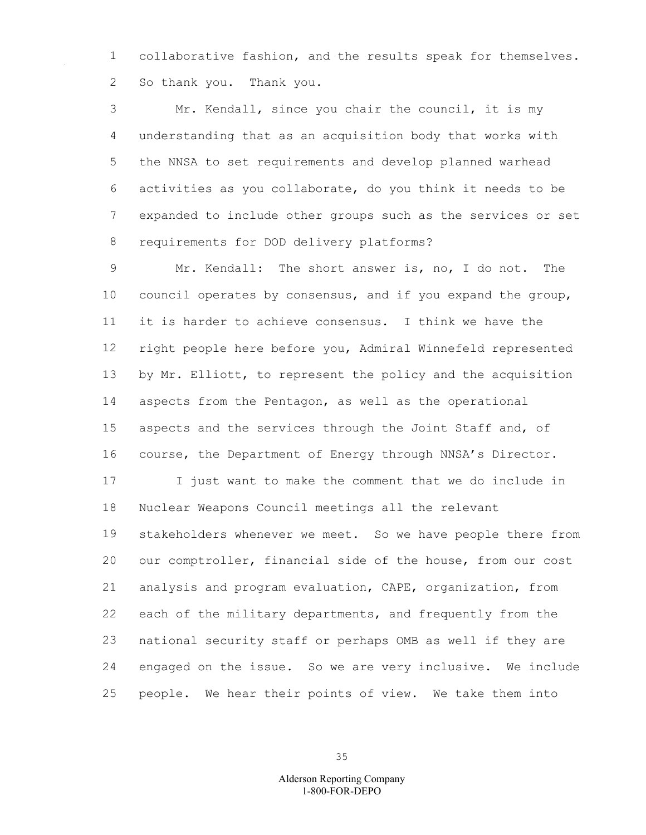collaborative fashion, and the results speak for themselves. So thank you. Thank you.

 Mr. Kendall, since you chair the council, it is my understanding that as an acquisition body that works with the NNSA to set requirements and develop planned warhead activities as you collaborate, do you think it needs to be expanded to include other groups such as the services or set requirements for DOD delivery platforms?

 Mr. Kendall: The short answer is, no, I do not. The council operates by consensus, and if you expand the group, it is harder to achieve consensus. I think we have the right people here before you, Admiral Winnefeld represented 13 by Mr. Elliott, to represent the policy and the acquisition aspects from the Pentagon, as well as the operational aspects and the services through the Joint Staff and, of course, the Department of Energy through NNSA's Director. I just want to make the comment that we do include in Nuclear Weapons Council meetings all the relevant

 stakeholders whenever we meet. So we have people there from our comptroller, financial side of the house, from our cost analysis and program evaluation, CAPE, organization, from each of the military departments, and frequently from the national security staff or perhaps OMB as well if they are engaged on the issue. So we are very inclusive. We include people. We hear their points of view. We take them into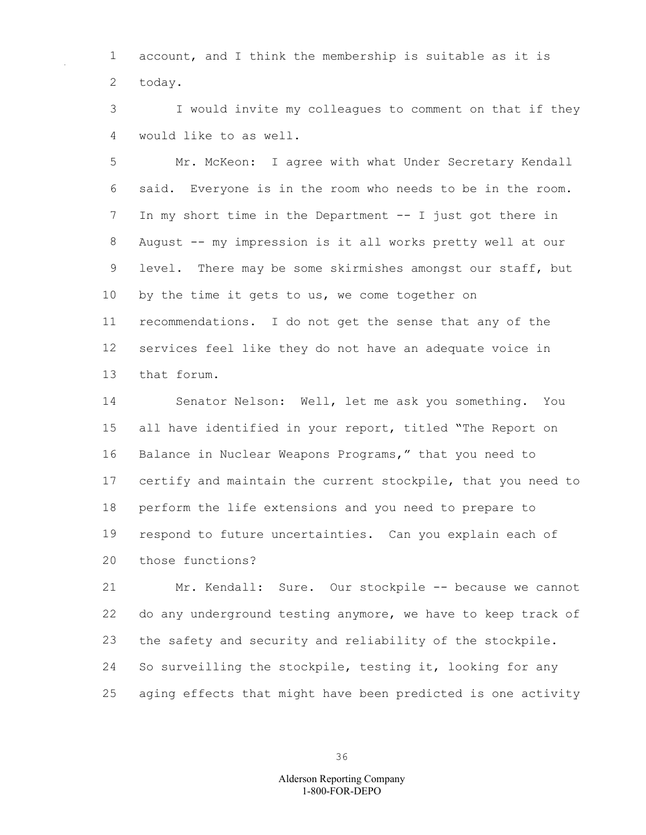account, and I think the membership is suitable as it is today.

 I would invite my colleagues to comment on that if they would like to as well.

 Mr. McKeon: I agree with what Under Secretary Kendall said. Everyone is in the room who needs to be in the room. In my short time in the Department -- I just got there in August -- my impression is it all works pretty well at our level. There may be some skirmishes amongst our staff, but 10 by the time it gets to us, we come together on recommendations. I do not get the sense that any of the services feel like they do not have an adequate voice in that forum.

 Senator Nelson: Well, let me ask you something. You all have identified in your report, titled "The Report on Balance in Nuclear Weapons Programs," that you need to certify and maintain the current stockpile, that you need to perform the life extensions and you need to prepare to respond to future uncertainties. Can you explain each of those functions?

 Mr. Kendall: Sure. Our stockpile -- because we cannot do any underground testing anymore, we have to keep track of the safety and security and reliability of the stockpile. So surveilling the stockpile, testing it, looking for any aging effects that might have been predicted is one activity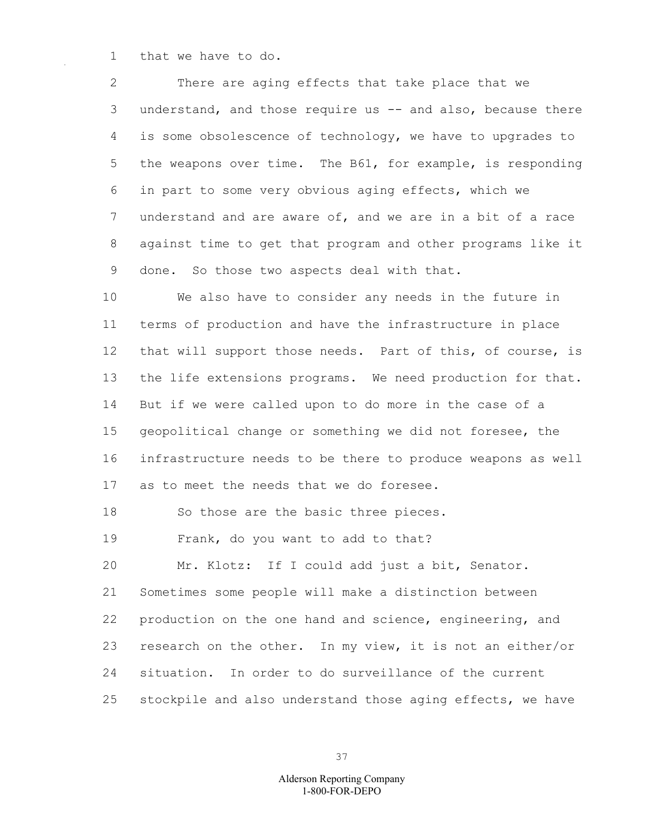1 that we have to do.

2 There are aging effects that take place that we 3 understand, and those require us -- and also, because there 4 is some obsolescence of technology, we have to upgrades to 5 the weapons over time. The B61, for example, is responding 6 in part to some very obvious aging effects, which we 7 understand and are aware of, and we are in a bit of a race 8 against time to get that program and other programs like it 9 done. So those two aspects deal with that.

10 We also have to consider any needs in the future in 11 terms of production and have the infrastructure in place 12 that will support those needs. Part of this, of course, is 13 the life extensions programs. We need production for that. 14 But if we were called upon to do more in the case of a 15 geopolitical change or something we did not foresee, the 16 infrastructure needs to be there to produce weapons as well 17 as to meet the needs that we do foresee.

18 So those are the basic three pieces.

19 Frank, do you want to add to that?

20 Mr. Klotz: If I could add just a bit, Senator. 21 Sometimes some people will make a distinction between 22 production on the one hand and science, engineering, and 23 research on the other. In my view, it is not an either/or 24 situation. In order to do surveillance of the current 25 stockpile and also understand those aging effects, we have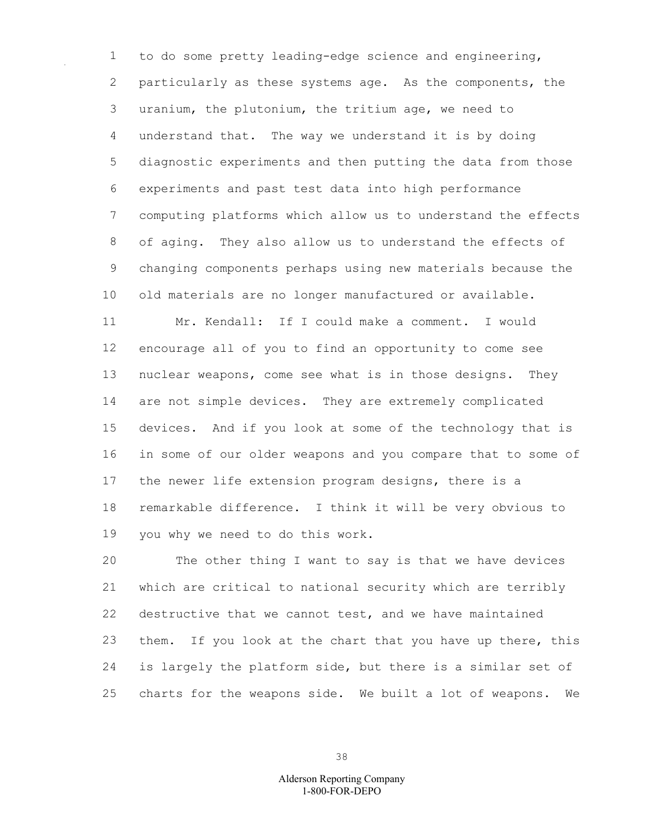to do some pretty leading-edge science and engineering, particularly as these systems age. As the components, the uranium, the plutonium, the tritium age, we need to understand that. The way we understand it is by doing diagnostic experiments and then putting the data from those experiments and past test data into high performance computing platforms which allow us to understand the effects of aging. They also allow us to understand the effects of changing components perhaps using new materials because the old materials are no longer manufactured or available. Mr. Kendall: If I could make a comment. I would

 encourage all of you to find an opportunity to come see nuclear weapons, come see what is in those designs. They are not simple devices. They are extremely complicated devices. And if you look at some of the technology that is in some of our older weapons and you compare that to some of the newer life extension program designs, there is a remarkable difference. I think it will be very obvious to you why we need to do this work.

 The other thing I want to say is that we have devices which are critical to national security which are terribly destructive that we cannot test, and we have maintained them. If you look at the chart that you have up there, this is largely the platform side, but there is a similar set of charts for the weapons side. We built a lot of weapons. We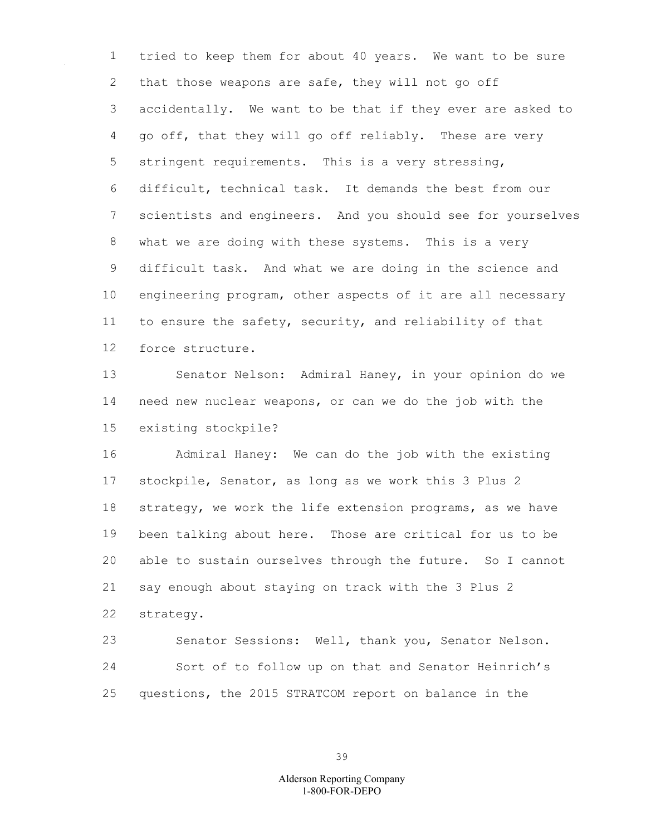tried to keep them for about 40 years. We want to be sure 2 that those weapons are safe, they will not go off accidentally. We want to be that if they ever are asked to go off, that they will go off reliably. These are very stringent requirements. This is a very stressing, difficult, technical task. It demands the best from our scientists and engineers. And you should see for yourselves what we are doing with these systems. This is a very difficult task. And what we are doing in the science and engineering program, other aspects of it are all necessary to ensure the safety, security, and reliability of that force structure.

 Senator Nelson: Admiral Haney, in your opinion do we need new nuclear weapons, or can we do the job with the existing stockpile?

 Admiral Haney: We can do the job with the existing stockpile, Senator, as long as we work this 3 Plus 2 strategy, we work the life extension programs, as we have been talking about here. Those are critical for us to be able to sustain ourselves through the future. So I cannot say enough about staying on track with the 3 Plus 2 strategy.

 Senator Sessions: Well, thank you, Senator Nelson. Sort of to follow up on that and Senator Heinrich's questions, the 2015 STRATCOM report on balance in the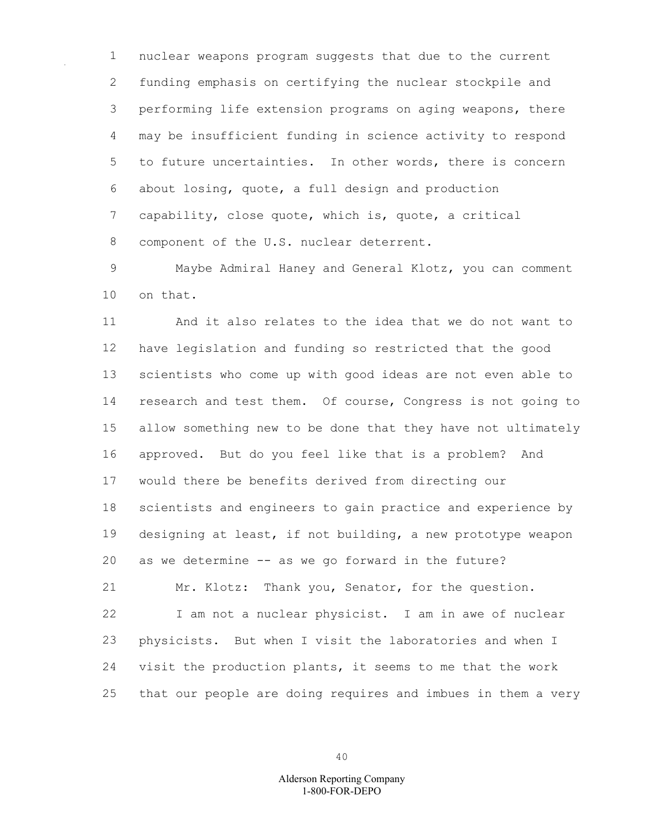nuclear weapons program suggests that due to the current funding emphasis on certifying the nuclear stockpile and performing life extension programs on aging weapons, there may be insufficient funding in science activity to respond to future uncertainties. In other words, there is concern about losing, quote, a full design and production capability, close quote, which is, quote, a critical component of the U.S. nuclear deterrent.

 Maybe Admiral Haney and General Klotz, you can comment on that.

 And it also relates to the idea that we do not want to have legislation and funding so restricted that the good scientists who come up with good ideas are not even able to research and test them. Of course, Congress is not going to allow something new to be done that they have not ultimately approved. But do you feel like that is a problem? And would there be benefits derived from directing our scientists and engineers to gain practice and experience by designing at least, if not building, a new prototype weapon as we determine -- as we go forward in the future? Mr. Klotz: Thank you, Senator, for the question. I am not a nuclear physicist. I am in awe of nuclear physicists. But when I visit the laboratories and when I visit the production plants, it seems to me that the work

that our people are doing requires and imbues in them a very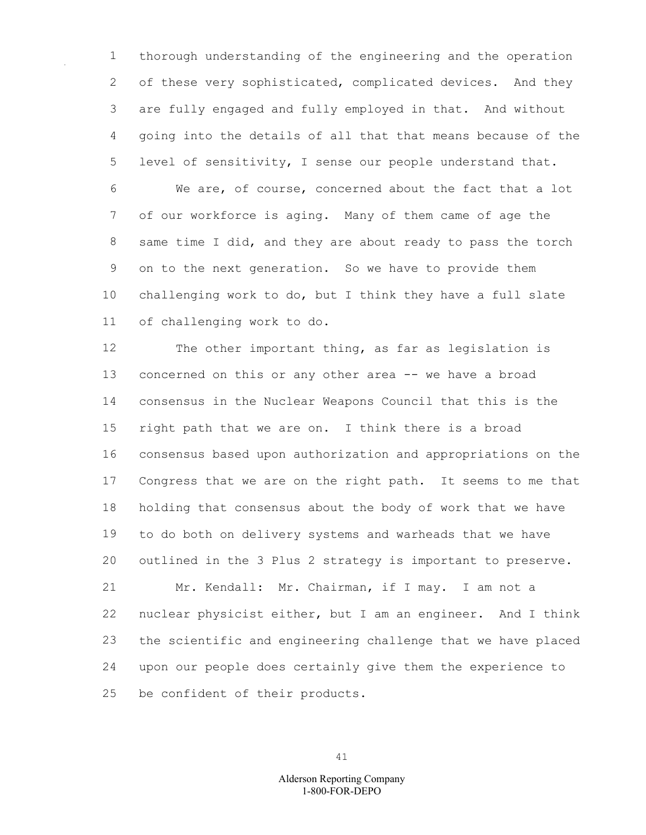thorough understanding of the engineering and the operation 2 of these very sophisticated, complicated devices. And they are fully engaged and fully employed in that. And without going into the details of all that that means because of the level of sensitivity, I sense our people understand that. We are, of course, concerned about the fact that a lot

 of our workforce is aging. Many of them came of age the same time I did, and they are about ready to pass the torch on to the next generation. So we have to provide them challenging work to do, but I think they have a full slate of challenging work to do.

 The other important thing, as far as legislation is concerned on this or any other area -- we have a broad consensus in the Nuclear Weapons Council that this is the right path that we are on. I think there is a broad consensus based upon authorization and appropriations on the Congress that we are on the right path. It seems to me that holding that consensus about the body of work that we have to do both on delivery systems and warheads that we have outlined in the 3 Plus 2 strategy is important to preserve. Mr. Kendall: Mr. Chairman, if I may. I am not a nuclear physicist either, but I am an engineer. And I think

 the scientific and engineering challenge that we have placed upon our people does certainly give them the experience to

be confident of their products.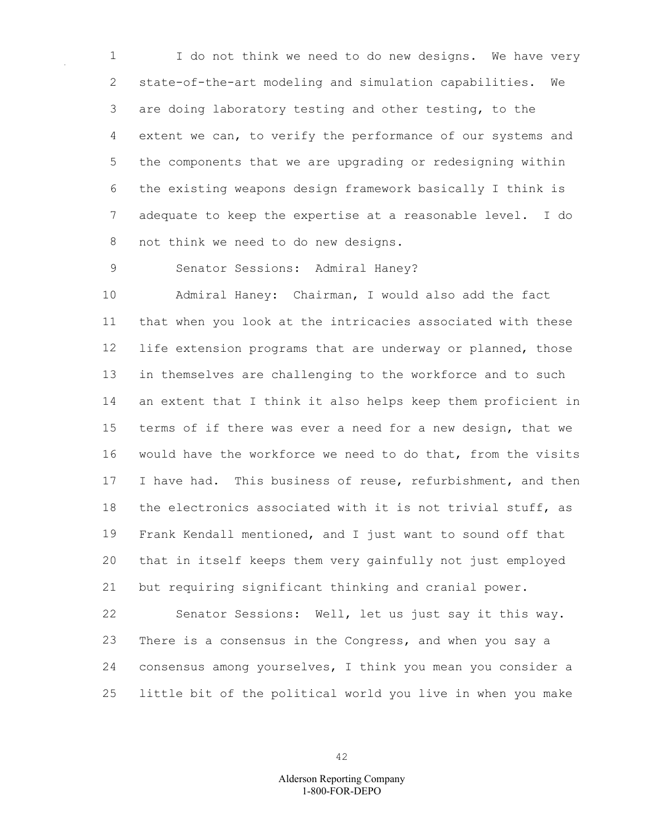I do not think we need to do new designs. We have very state-of-the-art modeling and simulation capabilities. We are doing laboratory testing and other testing, to the extent we can, to verify the performance of our systems and the components that we are upgrading or redesigning within the existing weapons design framework basically I think is adequate to keep the expertise at a reasonable level. I do not think we need to do new designs.

Senator Sessions: Admiral Haney?

 Admiral Haney: Chairman, I would also add the fact that when you look at the intricacies associated with these life extension programs that are underway or planned, those in themselves are challenging to the workforce and to such an extent that I think it also helps keep them proficient in terms of if there was ever a need for a new design, that we would have the workforce we need to do that, from the visits 17 I have had. This business of reuse, refurbishment, and then the electronics associated with it is not trivial stuff, as Frank Kendall mentioned, and I just want to sound off that that in itself keeps them very gainfully not just employed but requiring significant thinking and cranial power.

 Senator Sessions: Well, let us just say it this way. There is a consensus in the Congress, and when you say a consensus among yourselves, I think you mean you consider a little bit of the political world you live in when you make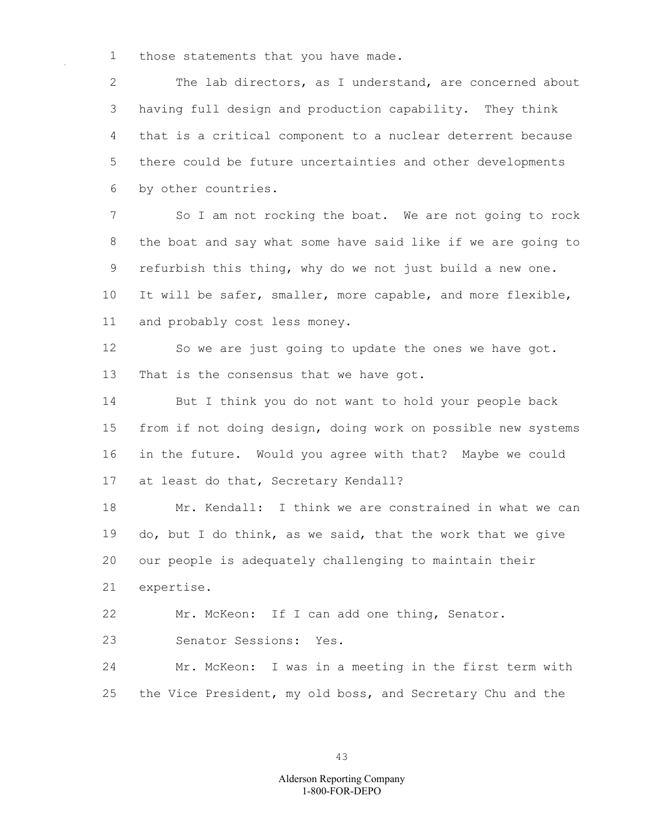those statements that you have made.

 The lab directors, as I understand, are concerned about having full design and production capability. They think that is a critical component to a nuclear deterrent because there could be future uncertainties and other developments by other countries.

 So I am not rocking the boat. We are not going to rock the boat and say what some have said like if we are going to refurbish this thing, why do we not just build a new one. It will be safer, smaller, more capable, and more flexible, and probably cost less money.

 So we are just going to update the ones we have got. That is the consensus that we have got.

 But I think you do not want to hold your people back from if not doing design, doing work on possible new systems in the future. Would you agree with that? Maybe we could at least do that, Secretary Kendall?

 Mr. Kendall: I think we are constrained in what we can do, but I do think, as we said, that the work that we give our people is adequately challenging to maintain their expertise.

Mr. McKeon: If I can add one thing, Senator.

Senator Sessions: Yes.

 Mr. McKeon: I was in a meeting in the first term with the Vice President, my old boss, and Secretary Chu and the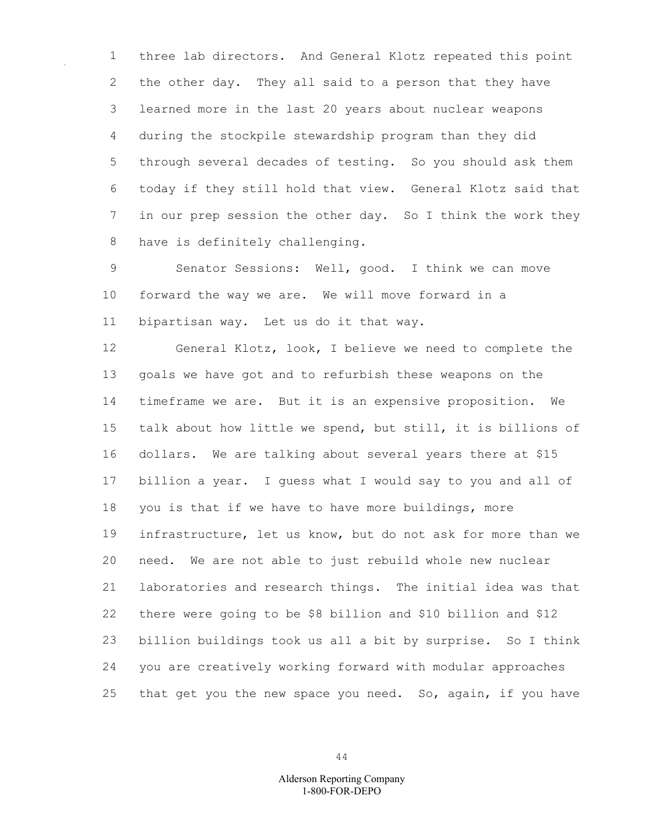three lab directors. And General Klotz repeated this point the other day. They all said to a person that they have learned more in the last 20 years about nuclear weapons during the stockpile stewardship program than they did through several decades of testing. So you should ask them today if they still hold that view. General Klotz said that in our prep session the other day. So I think the work they have is definitely challenging.

 Senator Sessions: Well, good. I think we can move forward the way we are. We will move forward in a bipartisan way. Let us do it that way.

 General Klotz, look, I believe we need to complete the goals we have got and to refurbish these weapons on the timeframe we are. But it is an expensive proposition. We talk about how little we spend, but still, it is billions of dollars. We are talking about several years there at \$15 billion a year. I guess what I would say to you and all of you is that if we have to have more buildings, more infrastructure, let us know, but do not ask for more than we need. We are not able to just rebuild whole new nuclear laboratories and research things. The initial idea was that there were going to be \$8 billion and \$10 billion and \$12 billion buildings took us all a bit by surprise. So I think you are creatively working forward with modular approaches that get you the new space you need. So, again, if you have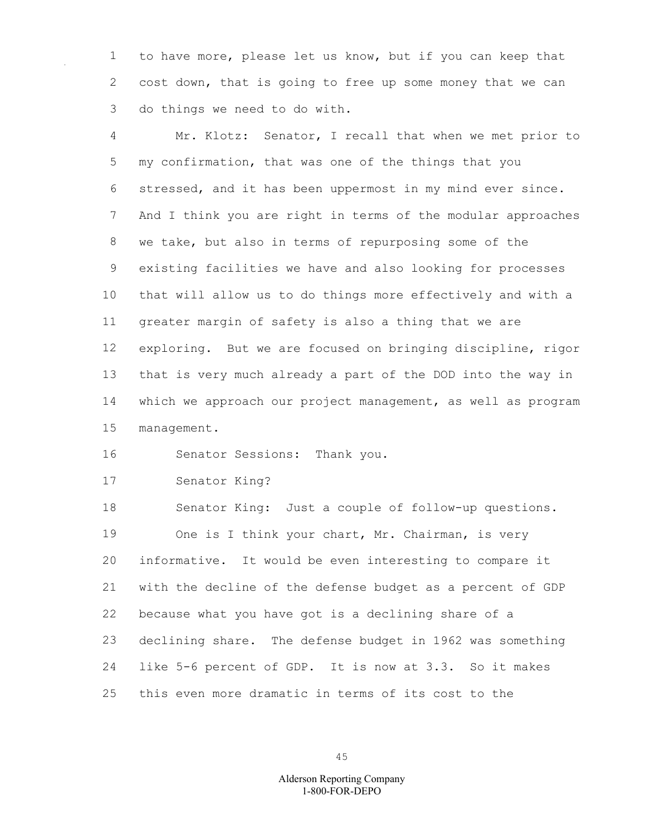to have more, please let us know, but if you can keep that cost down, that is going to free up some money that we can do things we need to do with.

 Mr. Klotz: Senator, I recall that when we met prior to my confirmation, that was one of the things that you stressed, and it has been uppermost in my mind ever since. And I think you are right in terms of the modular approaches we take, but also in terms of repurposing some of the existing facilities we have and also looking for processes that will allow us to do things more effectively and with a greater margin of safety is also a thing that we are exploring. But we are focused on bringing discipline, rigor that is very much already a part of the DOD into the way in which we approach our project management, as well as program management.

Senator Sessions: Thank you.

Senator King?

 Senator King: Just a couple of follow-up questions. 19 One is I think your chart, Mr. Chairman, is very informative. It would be even interesting to compare it with the decline of the defense budget as a percent of GDP because what you have got is a declining share of a declining share. The defense budget in 1962 was something like 5-6 percent of GDP. It is now at 3.3. So it makes this even more dramatic in terms of its cost to the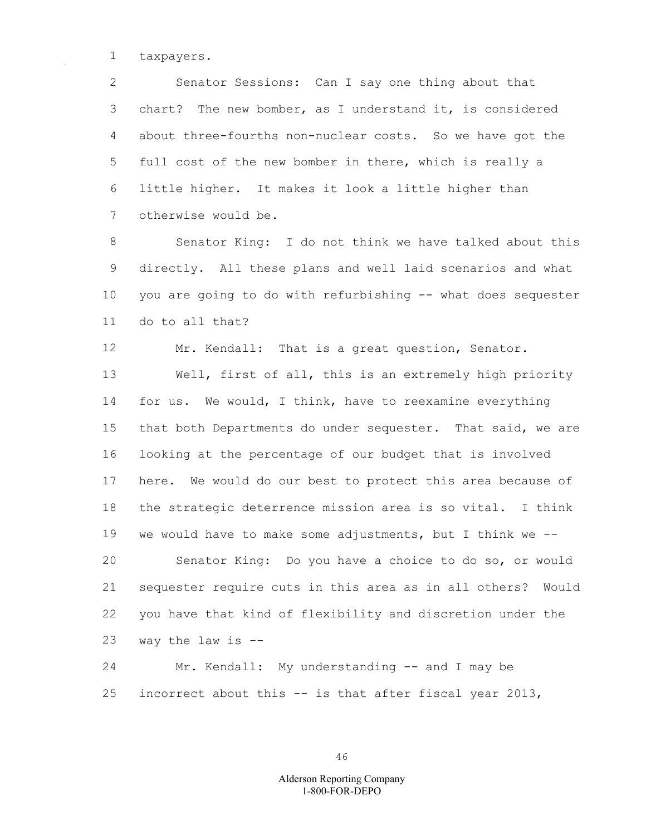taxpayers.

 Senator Sessions: Can I say one thing about that chart? The new bomber, as I understand it, is considered about three-fourths non-nuclear costs. So we have got the full cost of the new bomber in there, which is really a little higher. It makes it look a little higher than otherwise would be.

 Senator King: I do not think we have talked about this directly. All these plans and well laid scenarios and what you are going to do with refurbishing -- what does sequester do to all that?

 Mr. Kendall: That is a great question, Senator. Well, first of all, this is an extremely high priority for us. We would, I think, have to reexamine everything that both Departments do under sequester. That said, we are looking at the percentage of our budget that is involved here. We would do our best to protect this area because of the strategic deterrence mission area is so vital. I think we would have to make some adjustments, but I think we -- Senator King: Do you have a choice to do so, or would sequester require cuts in this area as in all others? Would you have that kind of flexibility and discretion under the way the law is --

 Mr. Kendall: My understanding -- and I may be incorrect about this -- is that after fiscal year 2013,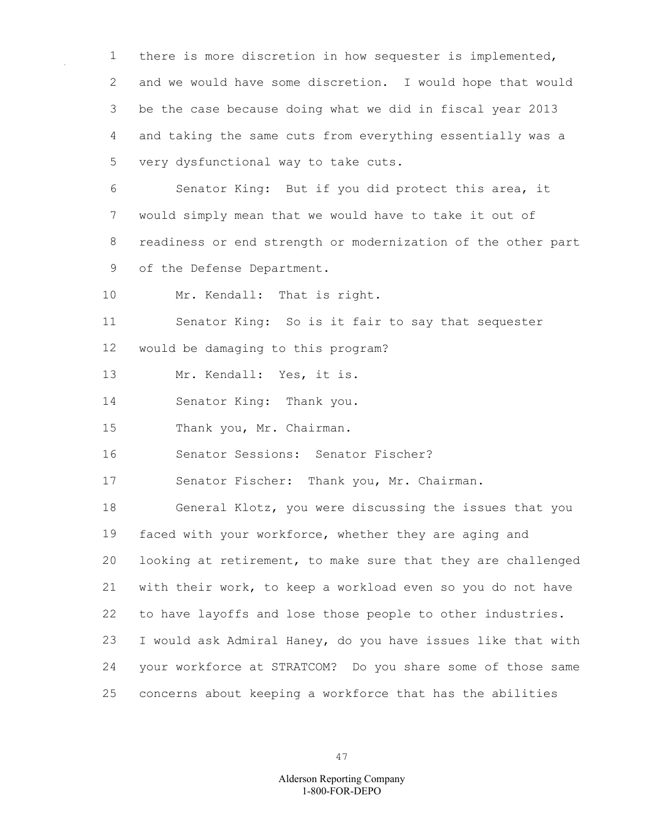there is more discretion in how sequester is implemented, and we would have some discretion. I would hope that would be the case because doing what we did in fiscal year 2013 and taking the same cuts from everything essentially was a very dysfunctional way to take cuts.

 Senator King: But if you did protect this area, it would simply mean that we would have to take it out of readiness or end strength or modernization of the other part of the Defense Department.

Mr. Kendall: That is right.

 Senator King: So is it fair to say that sequester would be damaging to this program?

Mr. Kendall: Yes, it is.

Senator King: Thank you.

Thank you, Mr. Chairman.

Senator Sessions: Senator Fischer?

Senator Fischer: Thank you, Mr. Chairman.

 General Klotz, you were discussing the issues that you faced with your workforce, whether they are aging and looking at retirement, to make sure that they are challenged with their work, to keep a workload even so you do not have to have layoffs and lose those people to other industries. I would ask Admiral Haney, do you have issues like that with your workforce at STRATCOM? Do you share some of those same concerns about keeping a workforce that has the abilities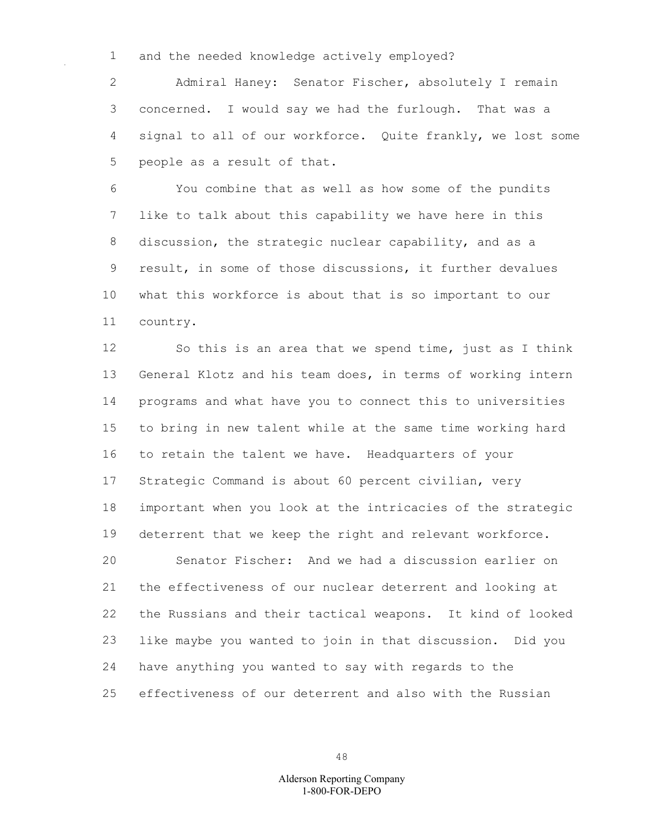and the needed knowledge actively employed?

 Admiral Haney: Senator Fischer, absolutely I remain concerned. I would say we had the furlough. That was a signal to all of our workforce. Quite frankly, we lost some people as a result of that.

 You combine that as well as how some of the pundits like to talk about this capability we have here in this discussion, the strategic nuclear capability, and as a result, in some of those discussions, it further devalues what this workforce is about that is so important to our country.

 So this is an area that we spend time, just as I think General Klotz and his team does, in terms of working intern programs and what have you to connect this to universities to bring in new talent while at the same time working hard to retain the talent we have. Headquarters of your Strategic Command is about 60 percent civilian, very important when you look at the intricacies of the strategic deterrent that we keep the right and relevant workforce. Senator Fischer: And we had a discussion earlier on the effectiveness of our nuclear deterrent and looking at the Russians and their tactical weapons. It kind of looked like maybe you wanted to join in that discussion. Did you have anything you wanted to say with regards to the effectiveness of our deterrent and also with the Russian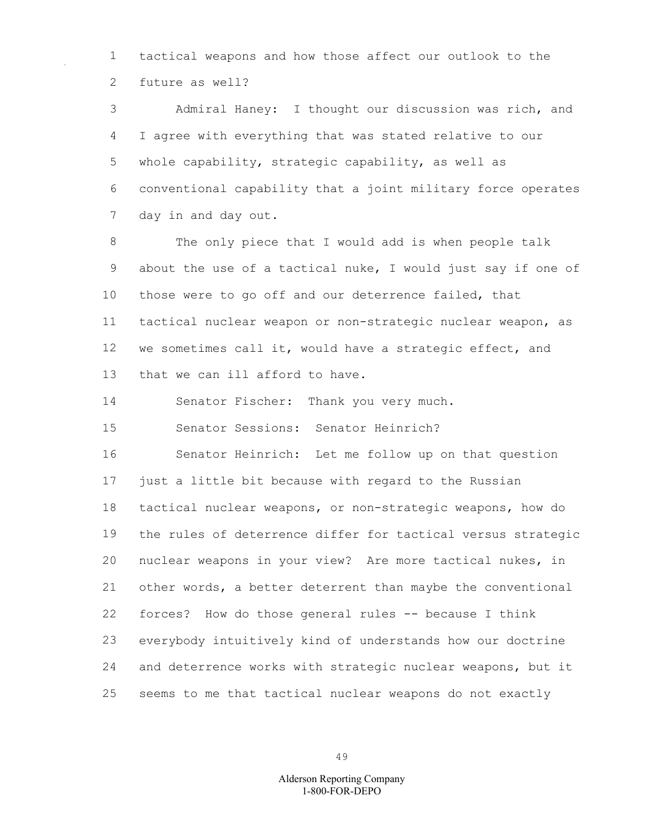tactical weapons and how those affect our outlook to the future as well?

 Admiral Haney: I thought our discussion was rich, and I agree with everything that was stated relative to our whole capability, strategic capability, as well as conventional capability that a joint military force operates day in and day out.

 The only piece that I would add is when people talk about the use of a tactical nuke, I would just say if one of those were to go off and our deterrence failed, that tactical nuclear weapon or non-strategic nuclear weapon, as we sometimes call it, would have a strategic effect, and that we can ill afford to have.

Senator Fischer: Thank you very much.

Senator Sessions: Senator Heinrich?

 Senator Heinrich: Let me follow up on that question just a little bit because with regard to the Russian tactical nuclear weapons, or non-strategic weapons, how do the rules of deterrence differ for tactical versus strategic nuclear weapons in your view? Are more tactical nukes, in other words, a better deterrent than maybe the conventional forces? How do those general rules -- because I think everybody intuitively kind of understands how our doctrine and deterrence works with strategic nuclear weapons, but it seems to me that tactical nuclear weapons do not exactly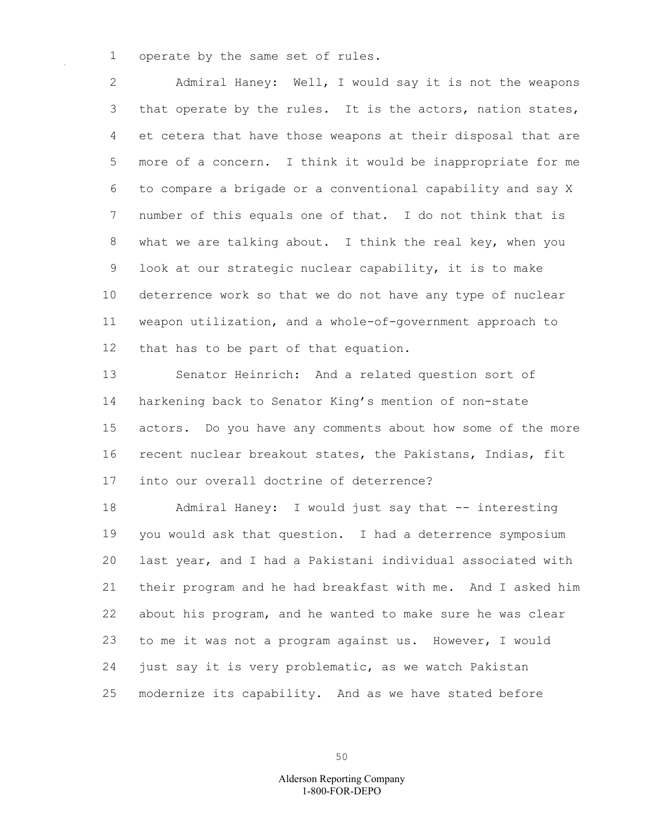operate by the same set of rules.

 Admiral Haney: Well, I would say it is not the weapons 3 that operate by the rules. It is the actors, nation states, et cetera that have those weapons at their disposal that are more of a concern. I think it would be inappropriate for me to compare a brigade or a conventional capability and say X number of this equals one of that. I do not think that is what we are talking about. I think the real key, when you look at our strategic nuclear capability, it is to make deterrence work so that we do not have any type of nuclear weapon utilization, and a whole-of-government approach to that has to be part of that equation.

 Senator Heinrich: And a related question sort of harkening back to Senator King's mention of non-state actors. Do you have any comments about how some of the more recent nuclear breakout states, the Pakistans, Indias, fit into our overall doctrine of deterrence?

 Admiral Haney: I would just say that -- interesting you would ask that question. I had a deterrence symposium last year, and I had a Pakistani individual associated with their program and he had breakfast with me. And I asked him about his program, and he wanted to make sure he was clear to me it was not a program against us. However, I would just say it is very problematic, as we watch Pakistan modernize its capability. And as we have stated before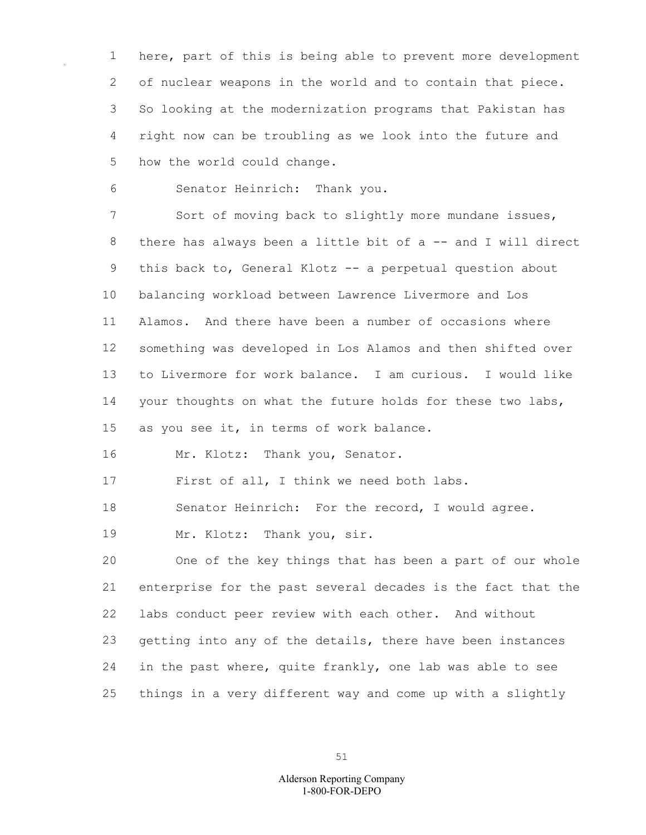here, part of this is being able to prevent more development of nuclear weapons in the world and to contain that piece. So looking at the modernization programs that Pakistan has right now can be troubling as we look into the future and how the world could change.

Senator Heinrich: Thank you.

 Sort of moving back to slightly more mundane issues, 8 there has always been a little bit of a -- and I will direct this back to, General Klotz -- a perpetual question about balancing workload between Lawrence Livermore and Los Alamos. And there have been a number of occasions where something was developed in Los Alamos and then shifted over to Livermore for work balance. I am curious. I would like 14 your thoughts on what the future holds for these two labs, as you see it, in terms of work balance.

Mr. Klotz: Thank you, Senator.

First of all, I think we need both labs.

Senator Heinrich: For the record, I would agree.

Mr. Klotz: Thank you, sir.

 One of the key things that has been a part of our whole enterprise for the past several decades is the fact that the labs conduct peer review with each other. And without getting into any of the details, there have been instances in the past where, quite frankly, one lab was able to see things in a very different way and come up with a slightly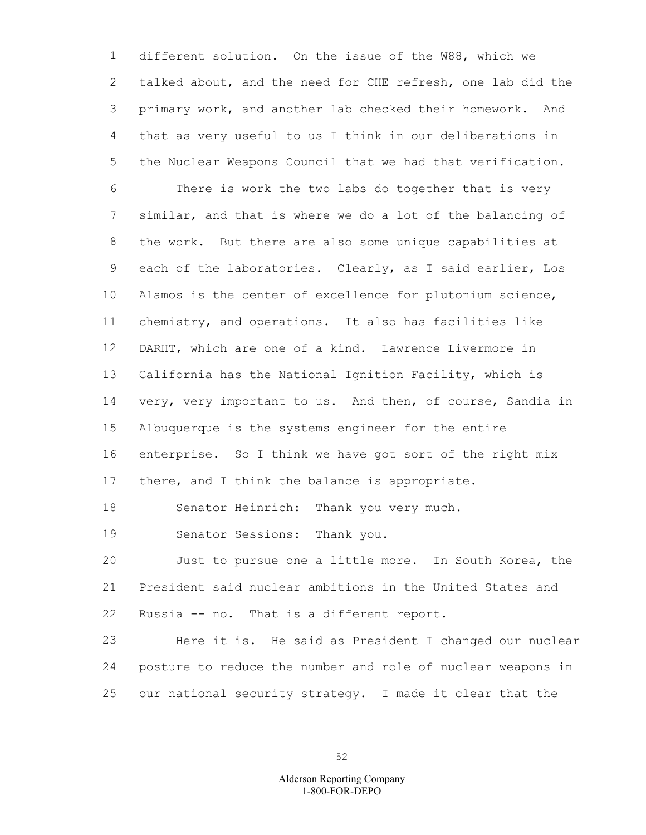different solution. On the issue of the W88, which we talked about, and the need for CHE refresh, one lab did the primary work, and another lab checked their homework. And that as very useful to us I think in our deliberations in the Nuclear Weapons Council that we had that verification. There is work the two labs do together that is very similar, and that is where we do a lot of the balancing of the work. But there are also some unique capabilities at each of the laboratories. Clearly, as I said earlier, Los Alamos is the center of excellence for plutonium science, chemistry, and operations. It also has facilities like DARHT, which are one of a kind. Lawrence Livermore in California has the National Ignition Facility, which is very, very important to us. And then, of course, Sandia in Albuquerque is the systems engineer for the entire enterprise. So I think we have got sort of the right mix 17 there, and I think the balance is appropriate.

Senator Heinrich: Thank you very much.

Senator Sessions: Thank you.

 Just to pursue one a little more. In South Korea, the President said nuclear ambitions in the United States and Russia -- no. That is a different report.

 Here it is. He said as President I changed our nuclear posture to reduce the number and role of nuclear weapons in our national security strategy. I made it clear that the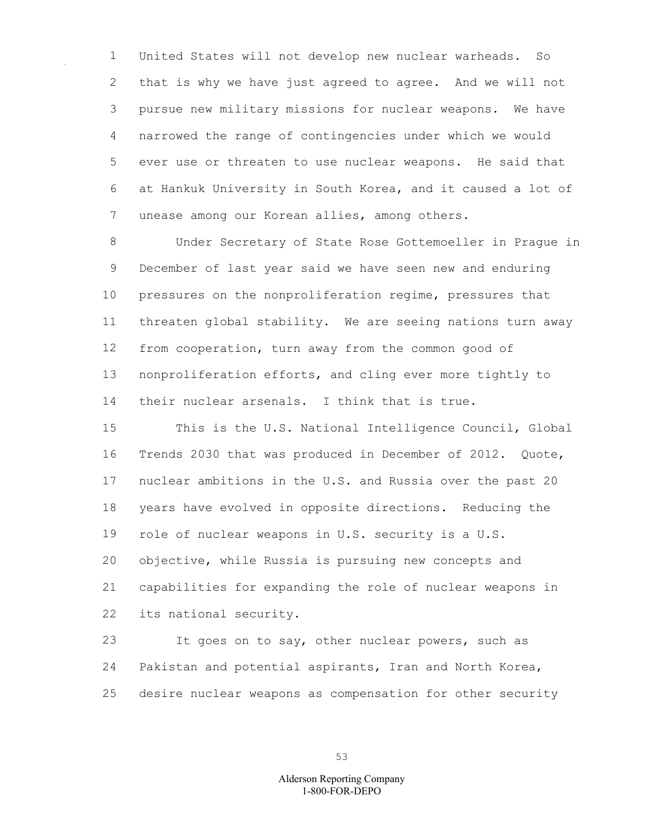United States will not develop new nuclear warheads. So that is why we have just agreed to agree. And we will not pursue new military missions for nuclear weapons. We have narrowed the range of contingencies under which we would ever use or threaten to use nuclear weapons. He said that at Hankuk University in South Korea, and it caused a lot of unease among our Korean allies, among others.

 Under Secretary of State Rose Gottemoeller in Prague in December of last year said we have seen new and enduring pressures on the nonproliferation regime, pressures that threaten global stability. We are seeing nations turn away from cooperation, turn away from the common good of nonproliferation efforts, and cling ever more tightly to their nuclear arsenals. I think that is true.

 This is the U.S. National Intelligence Council, Global Trends 2030 that was produced in December of 2012. Quote, nuclear ambitions in the U.S. and Russia over the past 20 years have evolved in opposite directions. Reducing the role of nuclear weapons in U.S. security is a U.S. objective, while Russia is pursuing new concepts and capabilities for expanding the role of nuclear weapons in its national security.

 It goes on to say, other nuclear powers, such as Pakistan and potential aspirants, Iran and North Korea, desire nuclear weapons as compensation for other security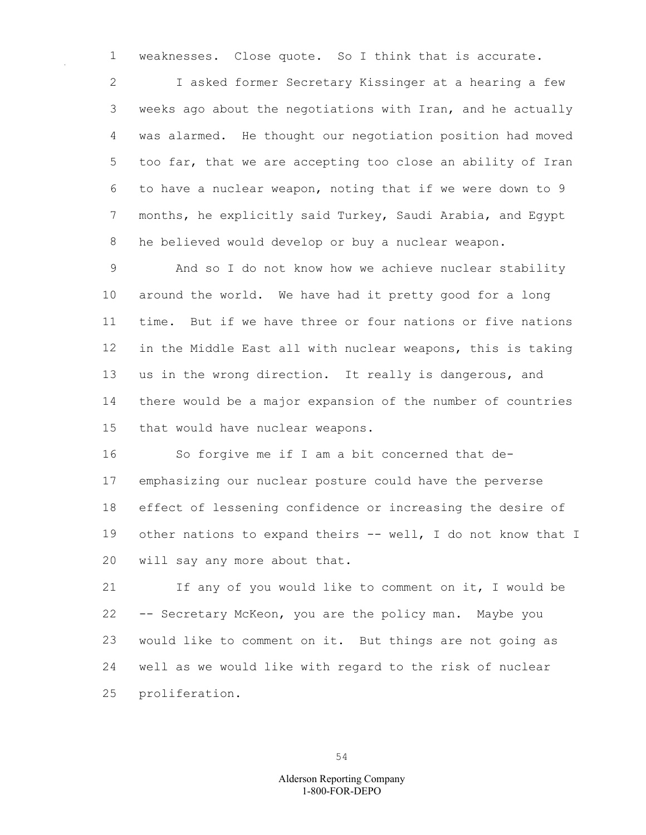weaknesses. Close quote. So I think that is accurate.

 I asked former Secretary Kissinger at a hearing a few weeks ago about the negotiations with Iran, and he actually was alarmed. He thought our negotiation position had moved too far, that we are accepting too close an ability of Iran to have a nuclear weapon, noting that if we were down to 9 months, he explicitly said Turkey, Saudi Arabia, and Egypt he believed would develop or buy a nuclear weapon.

 And so I do not know how we achieve nuclear stability around the world. We have had it pretty good for a long time. But if we have three or four nations or five nations in the Middle East all with nuclear weapons, this is taking us in the wrong direction. It really is dangerous, and there would be a major expansion of the number of countries that would have nuclear weapons.

 So forgive me if I am a bit concerned that de- emphasizing our nuclear posture could have the perverse effect of lessening confidence or increasing the desire of other nations to expand theirs -- well, I do not know that I will say any more about that.

 If any of you would like to comment on it, I would be -- Secretary McKeon, you are the policy man. Maybe you would like to comment on it. But things are not going as well as we would like with regard to the risk of nuclear proliferation.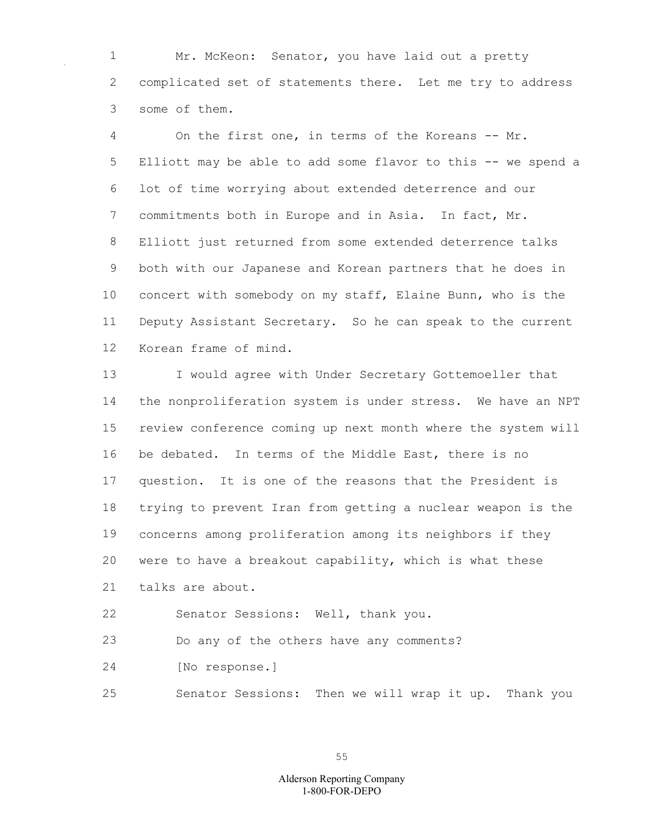Mr. McKeon: Senator, you have laid out a pretty complicated set of statements there. Let me try to address some of them.

 On the first one, in terms of the Koreans -- Mr. Elliott may be able to add some flavor to this -- we spend a lot of time worrying about extended deterrence and our commitments both in Europe and in Asia. In fact, Mr. Elliott just returned from some extended deterrence talks both with our Japanese and Korean partners that he does in concert with somebody on my staff, Elaine Bunn, who is the Deputy Assistant Secretary. So he can speak to the current Korean frame of mind.

 I would agree with Under Secretary Gottemoeller that the nonproliferation system is under stress. We have an NPT review conference coming up next month where the system will be debated. In terms of the Middle East, there is no question. It is one of the reasons that the President is trying to prevent Iran from getting a nuclear weapon is the concerns among proliferation among its neighbors if they were to have a breakout capability, which is what these talks are about.

Senator Sessions: Well, thank you.

Do any of the others have any comments?

[No response.]

Senator Sessions: Then we will wrap it up. Thank you